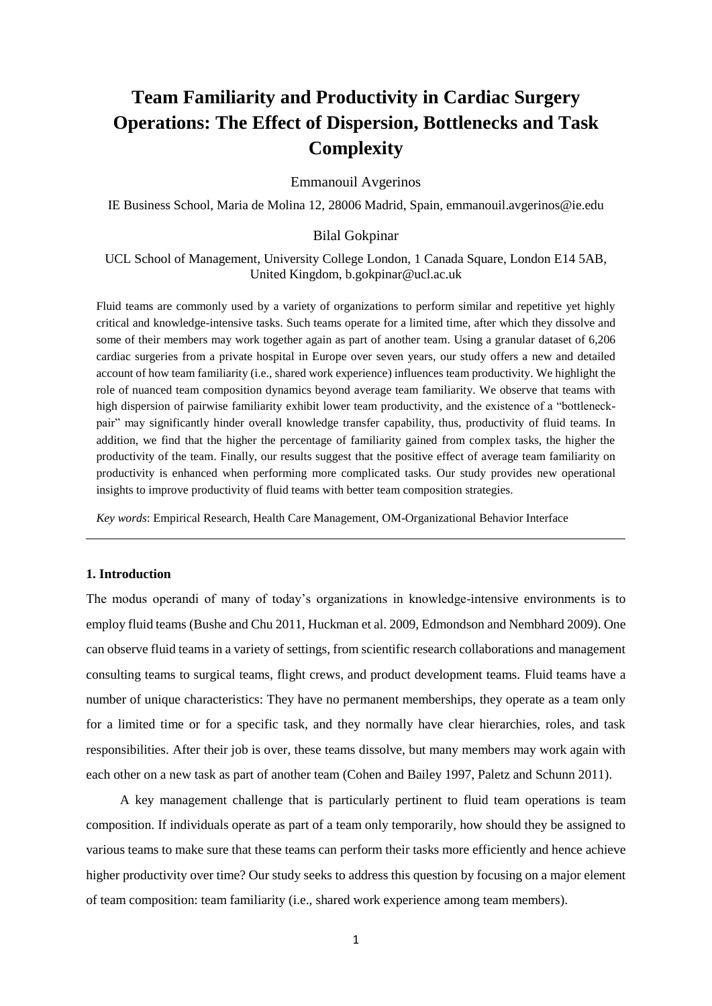# **Team Familiarity and Productivity in Cardiac Surgery Operations: The Effect of Dispersion, Bottlenecks and Task Complexity**

## Emmanouil Avgerinos

IE Business School, Maria de Molina 12, 28006 Madrid, Spain, emmanouil.avgerinos@ie.edu

## Bilal Gokpinar

UCL School of Management, University College London, 1 Canada Square, London E14 5AB, United Kingdom, b.gokpinar@ucl.ac.uk

Fluid teams are commonly used by a variety of organizations to perform similar and repetitive yet highly critical and knowledge-intensive tasks. Such teams operate for a limited time, after which they dissolve and some of their members may work together again as part of another team. Using a granular dataset of 6,206 cardiac surgeries from a private hospital in Europe over seven years, our study offers a new and detailed account of how team familiarity (i.e., shared work experience) influences team productivity. We highlight the role of nuanced team composition dynamics beyond average team familiarity. We observe that teams with high dispersion of pairwise familiarity exhibit lower team productivity, and the existence of a "bottleneckpair" may significantly hinder overall knowledge transfer capability, thus, productivity of fluid teams. In addition, we find that the higher the percentage of familiarity gained from complex tasks, the higher the productivity of the team. Finally, our results suggest that the positive effect of average team familiarity on productivity is enhanced when performing more complicated tasks. Our study provides new operational insights to improve productivity of fluid teams with better team composition strategies.

*Key words*: Empirical Research, Health Care Management, OM-Organizational Behavior Interface

## **1. Introduction**

The modus operandi of many of today's organizations in knowledge-intensive environments is to employ fluid teams (Bushe and Chu 2011, Huckman et al. 2009, Edmondson and Nembhard 2009). One can observe fluid teams in a variety of settings, from scientific research collaborations and management consulting teams to surgical teams, flight crews, and product development teams. Fluid teams have a number of unique characteristics: They have no permanent memberships, they operate as a team only for a limited time or for a specific task, and they normally have clear hierarchies, roles, and task responsibilities. After their job is over, these teams dissolve, but many members may work again with each other on a new task as part of another team (Cohen and Bailey 1997, Paletz and Schunn 2011).

A key management challenge that is particularly pertinent to fluid team operations is team composition. If individuals operate as part of a team only temporarily, how should they be assigned to various teams to make sure that these teams can perform their tasks more efficiently and hence achieve higher productivity over time? Our study seeks to address this question by focusing on a major element of team composition: team familiarity (i.e., shared work experience among team members).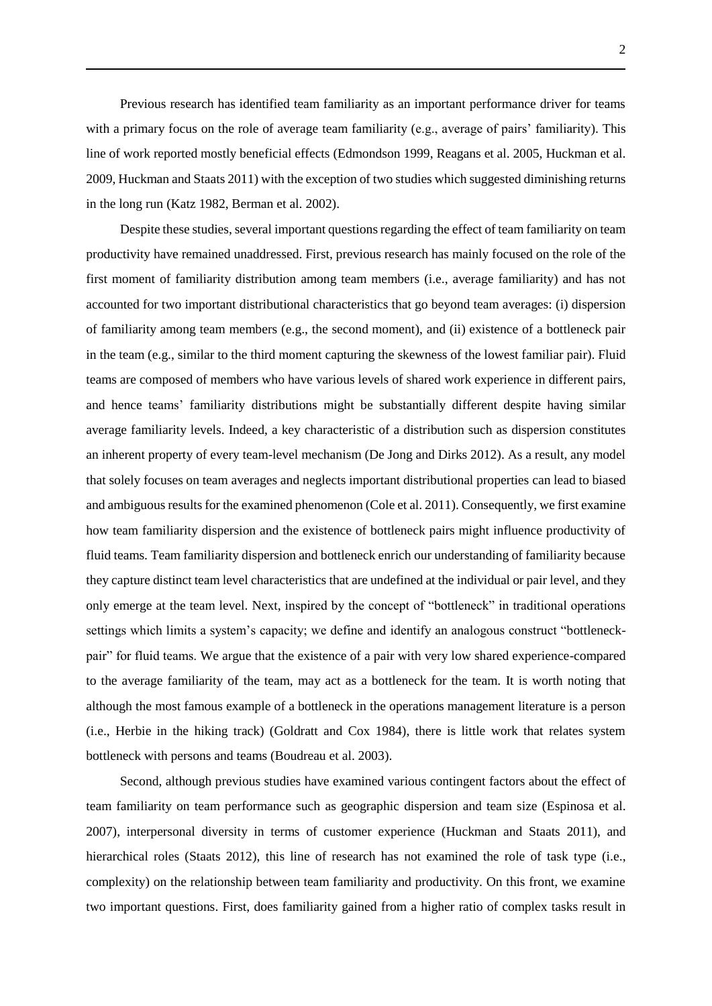Previous research has identified team familiarity as an important performance driver for teams with a primary focus on the role of average team familiarity (e.g., average of pairs' familiarity). This line of work reported mostly beneficial effects (Edmondson 1999, Reagans et al. 2005, Huckman et al. 2009, Huckman and Staats 2011) with the exception of two studies which suggested diminishing returns in the long run (Katz 1982, Berman et al. 2002).

Despite these studies, several important questions regarding the effect of team familiarity on team productivity have remained unaddressed. First, previous research has mainly focused on the role of the first moment of familiarity distribution among team members (i.e., average familiarity) and has not accounted for two important distributional characteristics that go beyond team averages: (i) dispersion of familiarity among team members (e.g., the second moment), and (ii) existence of a bottleneck pair in the team (e.g., similar to the third moment capturing the skewness of the lowest familiar pair). Fluid teams are composed of members who have various levels of shared work experience in different pairs, and hence teams' familiarity distributions might be substantially different despite having similar average familiarity levels. Indeed, a key characteristic of a distribution such as dispersion constitutes an inherent property of every team-level mechanism (De Jong and Dirks 2012). As a result, any model that solely focuses on team averages and neglects important distributional properties can lead to biased and ambiguous results for the examined phenomenon (Cole et al. 2011). Consequently, we first examine how team familiarity dispersion and the existence of bottleneck pairs might influence productivity of fluid teams. Team familiarity dispersion and bottleneck enrich our understanding of familiarity because they capture distinct team level characteristics that are undefined at the individual or pair level, and they only emerge at the team level. Next, inspired by the concept of "bottleneck" in traditional operations settings which limits a system's capacity; we define and identify an analogous construct "bottleneckpair" for fluid teams. We argue that the existence of a pair with very low shared experience-compared to the average familiarity of the team, may act as a bottleneck for the team. It is worth noting that although the most famous example of a bottleneck in the operations management literature is a person (i.e., Herbie in the hiking track) (Goldratt and Cox 1984), there is little work that relates system bottleneck with persons and teams (Boudreau et al. 2003).

Second, although previous studies have examined various contingent factors about the effect of team familiarity on team performance such as geographic dispersion and team size (Espinosa et al. 2007), interpersonal diversity in terms of customer experience (Huckman and Staats 2011), and hierarchical roles (Staats 2012), this line of research has not examined the role of task type (i.e., complexity) on the relationship between team familiarity and productivity. On this front, we examine two important questions. First, does familiarity gained from a higher ratio of complex tasks result in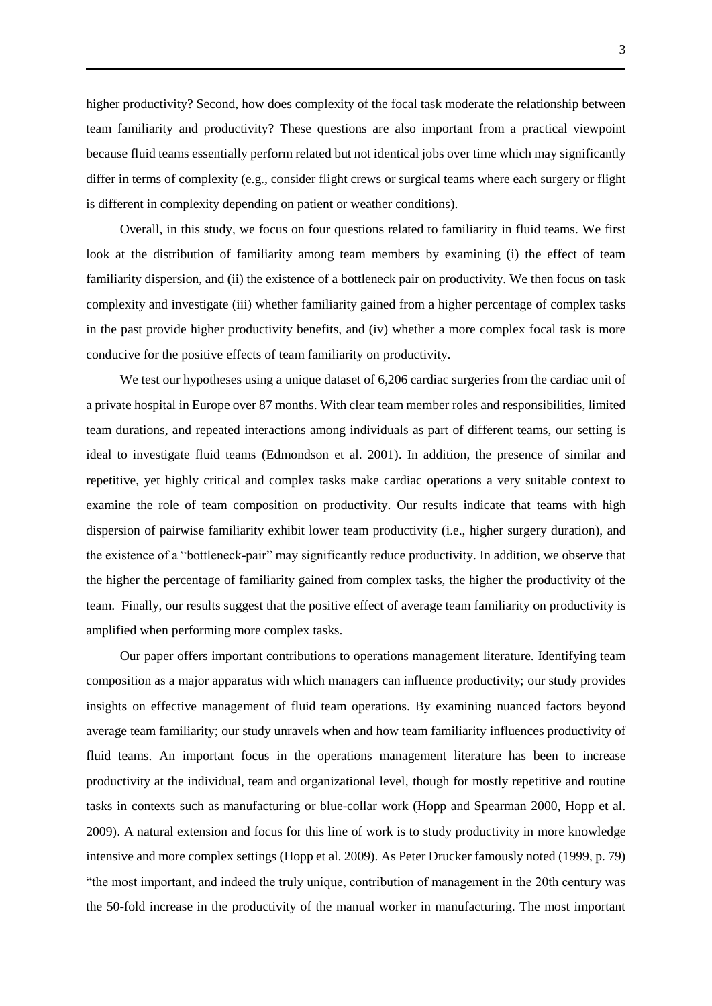higher productivity? Second, how does complexity of the focal task moderate the relationship between team familiarity and productivity? These questions are also important from a practical viewpoint because fluid teams essentially perform related but not identical jobs over time which may significantly differ in terms of complexity (e.g., consider flight crews or surgical teams where each surgery or flight is different in complexity depending on patient or weather conditions).

Overall, in this study, we focus on four questions related to familiarity in fluid teams. We first look at the distribution of familiarity among team members by examining (i) the effect of team familiarity dispersion, and (ii) the existence of a bottleneck pair on productivity. We then focus on task complexity and investigate (iii) whether familiarity gained from a higher percentage of complex tasks in the past provide higher productivity benefits, and (iv) whether a more complex focal task is more conducive for the positive effects of team familiarity on productivity.

We test our hypotheses using a unique dataset of 6,206 cardiac surgeries from the cardiac unit of a private hospital in Europe over 87 months. With clear team member roles and responsibilities, limited team durations, and repeated interactions among individuals as part of different teams, our setting is ideal to investigate fluid teams (Edmondson et al. 2001). In addition, the presence of similar and repetitive, yet highly critical and complex tasks make cardiac operations a very suitable context to examine the role of team composition on productivity. Our results indicate that teams with high dispersion of pairwise familiarity exhibit lower team productivity (i.e., higher surgery duration), and the existence of a "bottleneck-pair" may significantly reduce productivity. In addition, we observe that the higher the percentage of familiarity gained from complex tasks, the higher the productivity of the team. Finally, our results suggest that the positive effect of average team familiarity on productivity is amplified when performing more complex tasks.

Our paper offers important contributions to operations management literature. Identifying team composition as a major apparatus with which managers can influence productivity; our study provides insights on effective management of fluid team operations. By examining nuanced factors beyond average team familiarity; our study unravels when and how team familiarity influences productivity of fluid teams. An important focus in the operations management literature has been to increase productivity at the individual, team and organizational level, though for mostly repetitive and routine tasks in contexts such as manufacturing or blue-collar work (Hopp and Spearman 2000, Hopp et al. 2009). A natural extension and focus for this line of work is to study productivity in more knowledge intensive and more complex settings (Hopp et al. 2009). As Peter Drucker famously noted (1999, p. 79) "the most important, and indeed the truly unique, contribution of management in the 20th century was the 50-fold increase in the productivity of the manual worker in manufacturing. The most important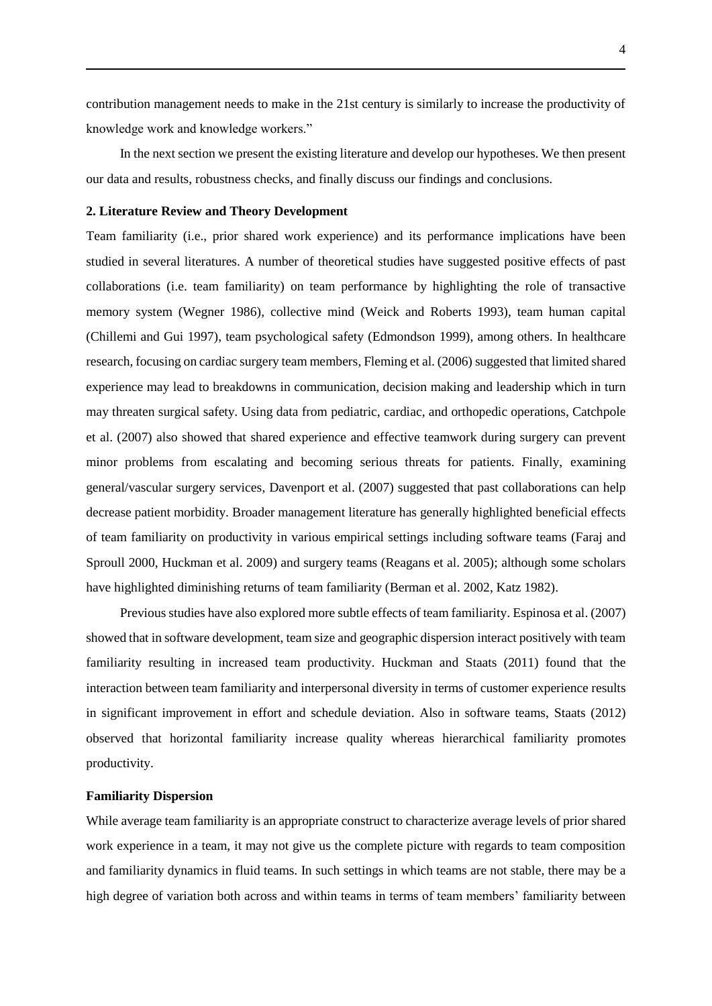contribution management needs to make in the 21st century is similarly to increase the productivity of knowledge work and knowledge workers."

In the next section we present the existing literature and develop our hypotheses. We then present our data and results, robustness checks, and finally discuss our findings and conclusions.

## **2. Literature Review and Theory Development**

Team familiarity (i.e., prior shared work experience) and its performance implications have been studied in several literatures. A number of theoretical studies have suggested positive effects of past collaborations (i.e. team familiarity) on team performance by highlighting the role of transactive memory system (Wegner 1986), collective mind (Weick and Roberts 1993), team human capital (Chillemi and Gui 1997), team psychological safety (Edmondson 1999), among others. In healthcare research, focusing on cardiac surgery team members, Fleming et al. (2006) suggested that limited shared experience may lead to breakdowns in communication, decision making and leadership which in turn may threaten surgical safety. Using data from pediatric, cardiac, and orthopedic operations, Catchpole et al. (2007) also showed that shared experience and effective teamwork during surgery can prevent minor problems from escalating and becoming serious threats for patients. Finally, examining general/vascular surgery services, Davenport et al. (2007) suggested that past collaborations can help decrease patient morbidity. Broader management literature has generally highlighted beneficial effects of team familiarity on productivity in various empirical settings including software teams (Faraj and Sproull 2000, Huckman et al. 2009) and surgery teams (Reagans et al. 2005); although some scholars have highlighted diminishing returns of team familiarity (Berman et al. 2002, Katz 1982).

Previous studies have also explored more subtle effects of team familiarity. Espinosa et al. (2007) showed that in software development, team size and geographic dispersion interact positively with team familiarity resulting in increased team productivity. Huckman and Staats (2011) found that the interaction between team familiarity and interpersonal diversity in terms of customer experience results in significant improvement in effort and schedule deviation. Also in software teams, Staats (2012) observed that horizontal familiarity increase quality whereas hierarchical familiarity promotes productivity.

## **Familiarity Dispersion**

While average team familiarity is an appropriate construct to characterize average levels of prior shared work experience in a team, it may not give us the complete picture with regards to team composition and familiarity dynamics in fluid teams. In such settings in which teams are not stable, there may be a high degree of variation both across and within teams in terms of team members' familiarity between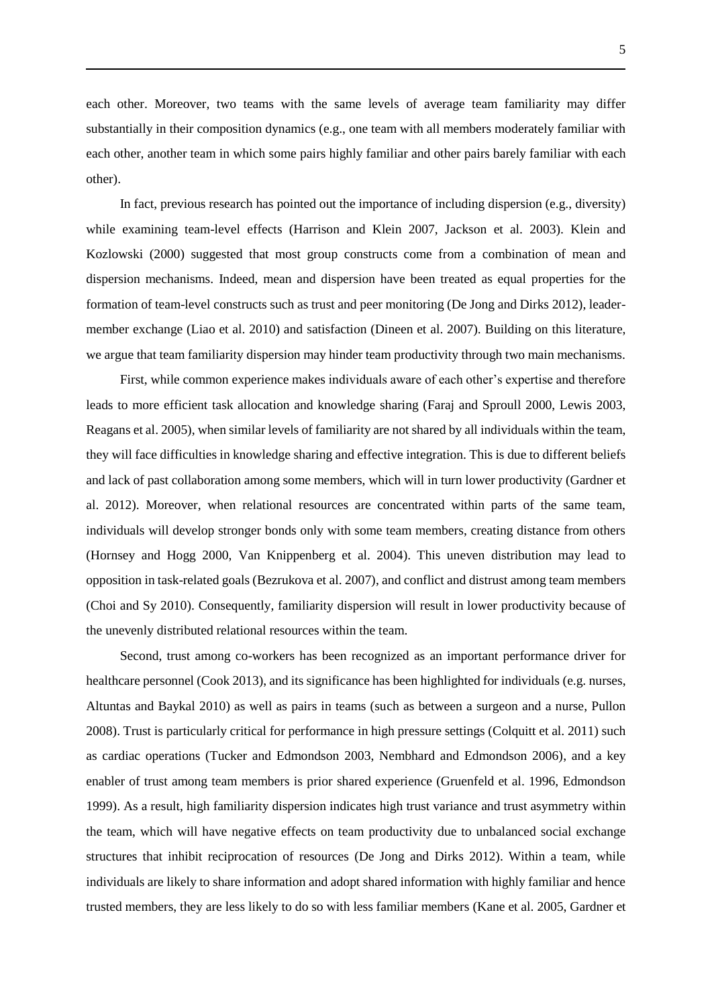each other. Moreover, two teams with the same levels of average team familiarity may differ substantially in their composition dynamics (e.g., one team with all members moderately familiar with each other, another team in which some pairs highly familiar and other pairs barely familiar with each other).

In fact, previous research has pointed out the importance of including dispersion (e.g., diversity) while examining team-level effects (Harrison and Klein 2007, Jackson et al. 2003). Klein and Kozlowski (2000) suggested that most group constructs come from a combination of mean and dispersion mechanisms. Indeed, mean and dispersion have been treated as equal properties for the formation of team-level constructs such as trust and peer monitoring (De Jong and Dirks 2012), leadermember exchange (Liao et al. 2010) and satisfaction (Dineen et al. 2007). Building on this literature, we argue that team familiarity dispersion may hinder team productivity through two main mechanisms.

First, while common experience makes individuals aware of each other's expertise and therefore leads to more efficient task allocation and knowledge sharing (Faraj and Sproull 2000, Lewis 2003, Reagans et al. 2005), when similar levels of familiarity are not shared by all individuals within the team, they will face difficulties in knowledge sharing and effective integration. This is due to different beliefs and lack of past collaboration among some members, which will in turn lower productivity (Gardner et al. 2012). Moreover, when relational resources are concentrated within parts of the same team, individuals will develop stronger bonds only with some team members, creating distance from others (Hornsey and Hogg 2000, Van Knippenberg et al. 2004). This uneven distribution may lead to opposition in task-related goals (Bezrukova et al. 2007), and conflict and distrust among team members (Choi and Sy 2010). Consequently, familiarity dispersion will result in lower productivity because of the unevenly distributed relational resources within the team.

Second, trust among co-workers has been recognized as an important performance driver for healthcare personnel (Cook 2013), and its significance has been highlighted for individuals (e.g. nurses, Altuntas and Baykal 2010) as well as pairs in teams (such as between a surgeon and a nurse, Pullon 2008). Trust is particularly critical for performance in high pressure settings (Colquitt et al. 2011) such as cardiac operations (Tucker and Edmondson 2003, Nembhard and Edmondson 2006), and a key enabler of trust among team members is prior shared experience (Gruenfeld et al. 1996, Edmondson 1999). As a result, high familiarity dispersion indicates high trust variance and trust asymmetry within the team, which will have negative effects on team productivity due to unbalanced social exchange structures that inhibit reciprocation of resources (De Jong and Dirks 2012). Within a team, while individuals are likely to share information and adopt shared information with highly familiar and hence trusted members, they are less likely to do so with less familiar members (Kane et al. 2005, Gardner et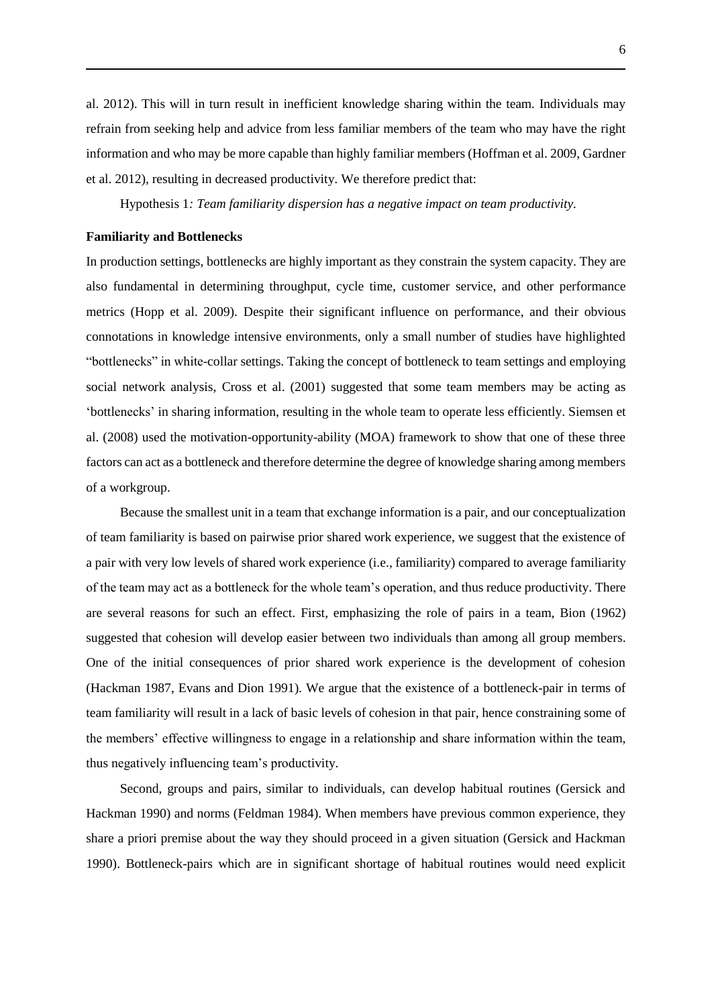al. 2012). This will in turn result in inefficient knowledge sharing within the team. Individuals may refrain from seeking help and advice from less familiar members of the team who may have the right information and who may be more capable than highly familiar members (Hoffman et al. 2009, Gardner et al. 2012), resulting in decreased productivity. We therefore predict that:

Hypothesis 1*: Team familiarity dispersion has a negative impact on team productivity.* 

## **Familiarity and Bottlenecks**

In production settings, bottlenecks are highly important as they constrain the system capacity. They are also fundamental in determining throughput, cycle time, customer service, and other performance metrics (Hopp et al. 2009). Despite their significant influence on performance, and their obvious connotations in knowledge intensive environments, only a small number of studies have highlighted "bottlenecks" in white-collar settings. Taking the concept of bottleneck to team settings and employing social network analysis, Cross et al. (2001) suggested that some team members may be acting as 'bottlenecks' in sharing information, resulting in the whole team to operate less efficiently. Siemsen et al. (2008) used the motivation-opportunity-ability (MOA) framework to show that one of these three factors can act as a bottleneck and therefore determine the degree of knowledge sharing among members of a workgroup.

Because the smallest unit in a team that exchange information is a pair, and our conceptualization of team familiarity is based on pairwise prior shared work experience, we suggest that the existence of a pair with very low levels of shared work experience (i.e., familiarity) compared to average familiarity of the team may act as a bottleneck for the whole team's operation, and thus reduce productivity. There are several reasons for such an effect. First, emphasizing the role of pairs in a team, Bion (1962) suggested that cohesion will develop easier between two individuals than among all group members. One of the initial consequences of prior shared work experience is the development of cohesion (Hackman 1987, Evans and Dion 1991). We argue that the existence of a bottleneck-pair in terms of team familiarity will result in a lack of basic levels of cohesion in that pair, hence constraining some of the members' effective willingness to engage in a relationship and share information within the team, thus negatively influencing team's productivity.

Second, groups and pairs, similar to individuals, can develop habitual routines (Gersick and Hackman 1990) and norms (Feldman 1984). When members have previous common experience, they share a priori premise about the way they should proceed in a given situation (Gersick and Hackman 1990). Bottleneck-pairs which are in significant shortage of habitual routines would need explicit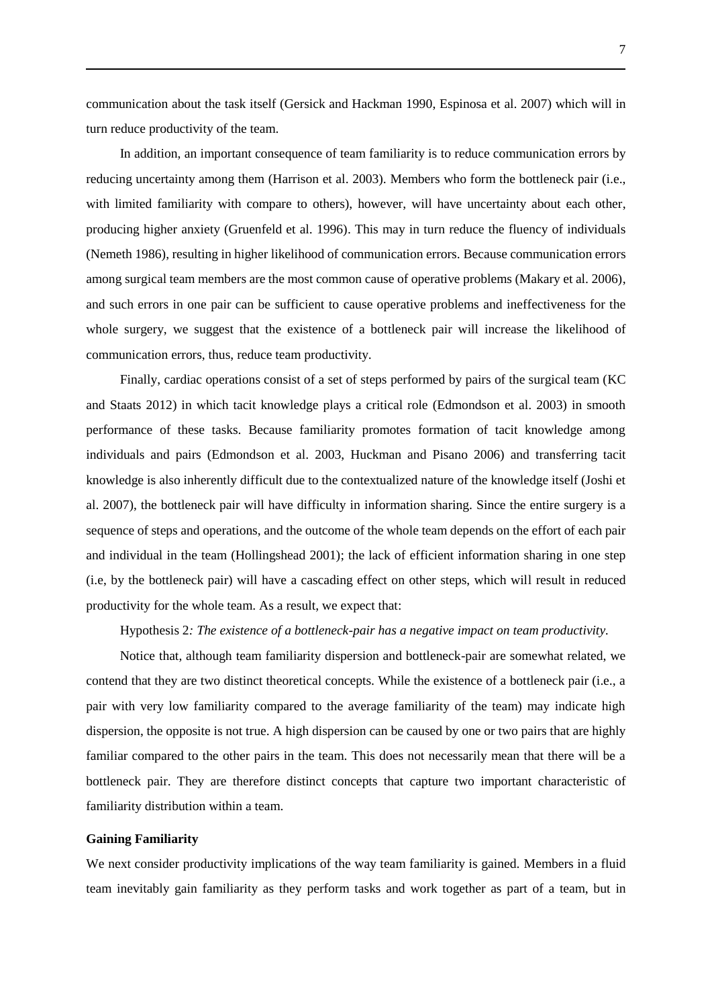communication about the task itself (Gersick and Hackman 1990, Espinosa et al. 2007) which will in turn reduce productivity of the team.

In addition, an important consequence of team familiarity is to reduce communication errors by reducing uncertainty among them (Harrison et al. 2003). Members who form the bottleneck pair (i.e., with limited familiarity with compare to others), however, will have uncertainty about each other, producing higher anxiety (Gruenfeld et al. 1996). This may in turn reduce the fluency of individuals (Nemeth 1986), resulting in higher likelihood of communication errors. Because communication errors among surgical team members are the most common cause of operative problems (Makary et al. 2006), and such errors in one pair can be sufficient to cause operative problems and ineffectiveness for the whole surgery, we suggest that the existence of a bottleneck pair will increase the likelihood of communication errors, thus, reduce team productivity.

Finally, cardiac operations consist of a set of steps performed by pairs of the surgical team (KC and Staats 2012) in which tacit knowledge plays a critical role (Edmondson et al. 2003) in smooth performance of these tasks. Because familiarity promotes formation of tacit knowledge among individuals and pairs (Edmondson et al. 2003, Huckman and Pisano 2006) and transferring tacit knowledge is also inherently difficult due to the contextualized nature of the knowledge itself (Joshi et al. 2007), the bottleneck pair will have difficulty in information sharing. Since the entire surgery is a sequence of steps and operations, and the outcome of the whole team depends on the effort of each pair and individual in the team (Hollingshead 2001); the lack of efficient information sharing in one step (i.e, by the bottleneck pair) will have a cascading effect on other steps, which will result in reduced productivity for the whole team. As a result, we expect that:

#### Hypothesis 2*: The existence of a bottleneck-pair has a negative impact on team productivity.*

Notice that, although team familiarity dispersion and bottleneck-pair are somewhat related, we contend that they are two distinct theoretical concepts. While the existence of a bottleneck pair (i.e., a pair with very low familiarity compared to the average familiarity of the team) may indicate high dispersion, the opposite is not true. A high dispersion can be caused by one or two pairs that are highly familiar compared to the other pairs in the team. This does not necessarily mean that there will be a bottleneck pair. They are therefore distinct concepts that capture two important characteristic of familiarity distribution within a team.

## **Gaining Familiarity**

We next consider productivity implications of the way team familiarity is gained. Members in a fluid team inevitably gain familiarity as they perform tasks and work together as part of a team, but in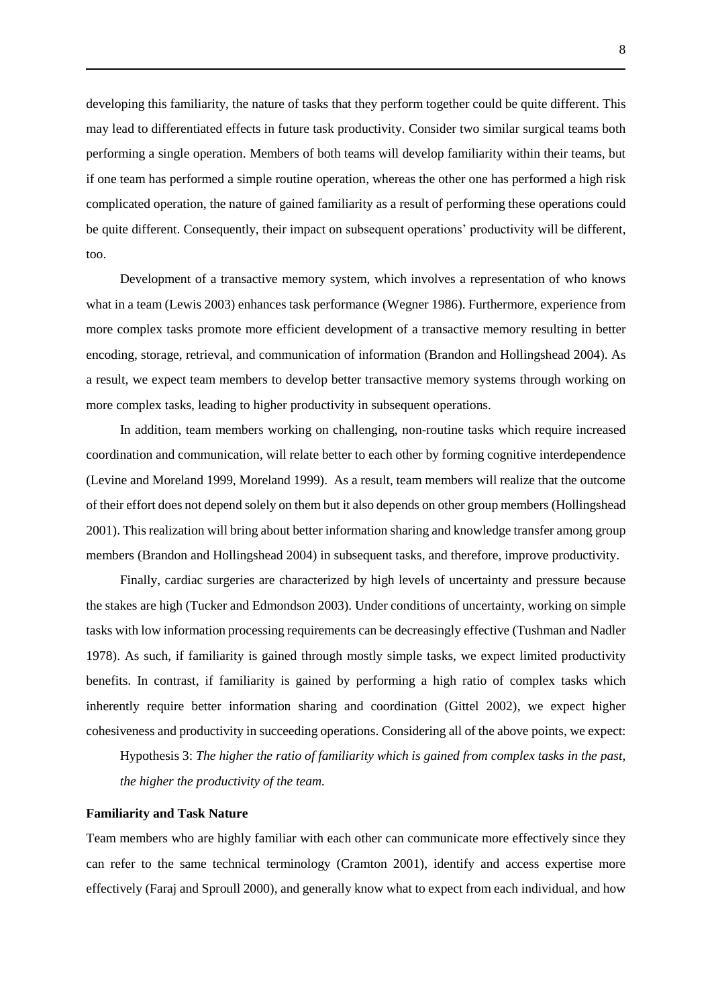developing this familiarity, the nature of tasks that they perform together could be quite different. This may lead to differentiated effects in future task productivity. Consider two similar surgical teams both performing a single operation. Members of both teams will develop familiarity within their teams, but if one team has performed a simple routine operation, whereas the other one has performed a high risk complicated operation, the nature of gained familiarity as a result of performing these operations could be quite different. Consequently, their impact on subsequent operations' productivity will be different, too.

Development of a transactive memory system, which involves a representation of who knows what in a team (Lewis 2003) enhances task performance (Wegner 1986). Furthermore, experience from more complex tasks promote more efficient development of a transactive memory resulting in better encoding, storage, retrieval, and communication of information (Brandon and Hollingshead 2004). As a result, we expect team members to develop better transactive memory systems through working on more complex tasks, leading to higher productivity in subsequent operations.

In addition, team members working on challenging, non-routine tasks which require increased coordination and communication, will relate better to each other by forming cognitive interdependence (Levine and Moreland 1999, Moreland 1999). As a result, team members will realize that the outcome of their effort does not depend solely on them but it also depends on other group members (Hollingshead 2001). This realization will bring about better information sharing and knowledge transfer among group members (Brandon and Hollingshead 2004) in subsequent tasks, and therefore, improve productivity.

Finally, cardiac surgeries are characterized by high levels of uncertainty and pressure because the stakes are high (Tucker and Edmondson 2003). Under conditions of uncertainty, working on simple tasks with low information processing requirements can be decreasingly effective (Tushman and Nadler 1978). As such, if familiarity is gained through mostly simple tasks, we expect limited productivity benefits. In contrast, if familiarity is gained by performing a high ratio of complex tasks which inherently require better information sharing and coordination (Gittel 2002), we expect higher cohesiveness and productivity in succeeding operations. Considering all of the above points, we expect:

Hypothesis 3: *The higher the ratio of familiarity which is gained from complex tasks in the past, the higher the productivity of the team.*

## **Familiarity and Task Nature**

Team members who are highly familiar with each other can communicate more effectively since they can refer to the same technical terminology (Cramton 2001), identify and access expertise more effectively (Faraj and Sproull 2000), and generally know what to expect from each individual, and how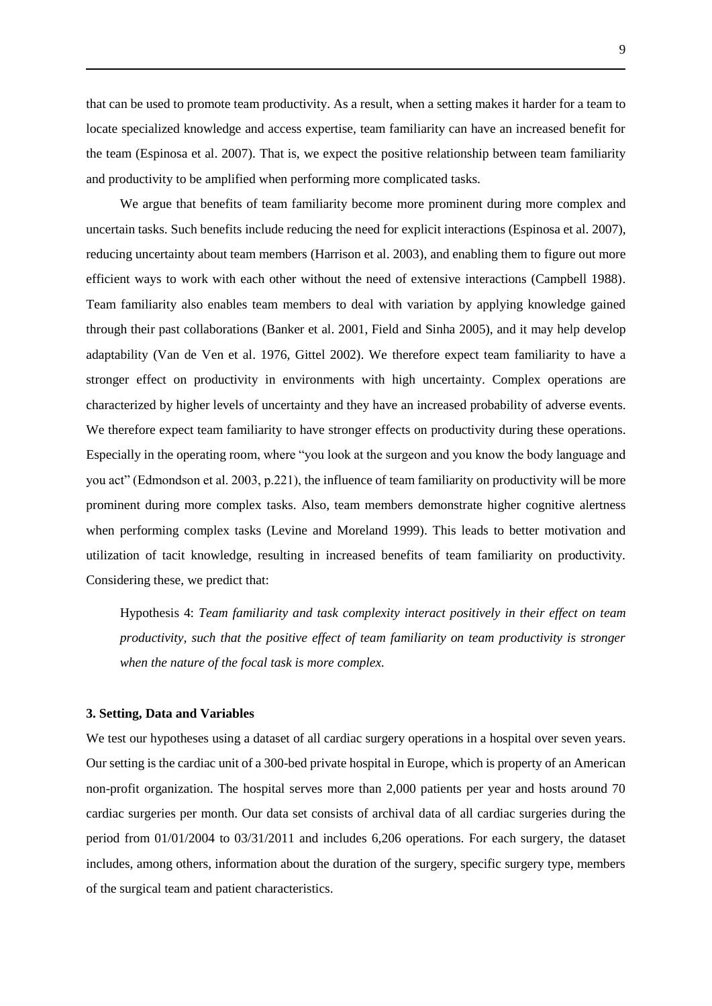that can be used to promote team productivity. As a result, when a setting makes it harder for a team to locate specialized knowledge and access expertise, team familiarity can have an increased benefit for the team (Espinosa et al. 2007). That is, we expect the positive relationship between team familiarity and productivity to be amplified when performing more complicated tasks.

We argue that benefits of team familiarity become more prominent during more complex and uncertain tasks. Such benefits include reducing the need for explicit interactions (Espinosa et al. 2007), reducing uncertainty about team members (Harrison et al. 2003), and enabling them to figure out more efficient ways to work with each other without the need of extensive interactions (Campbell 1988). Team familiarity also enables team members to deal with variation by applying knowledge gained through their past collaborations (Banker et al. 2001, Field and Sinha 2005), and it may help develop adaptability (Van de Ven et al. 1976, Gittel 2002). We therefore expect team familiarity to have a stronger effect on productivity in environments with high uncertainty. Complex operations are characterized by higher levels of uncertainty and they have an increased probability of adverse events. We therefore expect team familiarity to have stronger effects on productivity during these operations. Especially in the operating room, where "you look at the surgeon and you know the body language and you act" (Edmondson et al. 2003, p.221), the influence of team familiarity on productivity will be more prominent during more complex tasks. Also, team members demonstrate higher cognitive alertness when performing complex tasks (Levine and Moreland 1999). This leads to better motivation and utilization of tacit knowledge, resulting in increased benefits of team familiarity on productivity. Considering these, we predict that:

Hypothesis 4: *Team familiarity and task complexity interact positively in their effect on team productivity, such that the positive effect of team familiarity on team productivity is stronger when the nature of the focal task is more complex.*

### **3. Setting, Data and Variables**

We test our hypotheses using a dataset of all cardiac surgery operations in a hospital over seven years. Our setting is the cardiac unit of a 300-bed private hospital in Europe, which is property of an American non-profit organization. The hospital serves more than 2,000 patients per year and hosts around 70 cardiac surgeries per month. Our data set consists of archival data of all cardiac surgeries during the period from 01/01/2004 to 03/31/2011 and includes 6,206 operations. For each surgery, the dataset includes, among others, information about the duration of the surgery, specific surgery type, members of the surgical team and patient characteristics.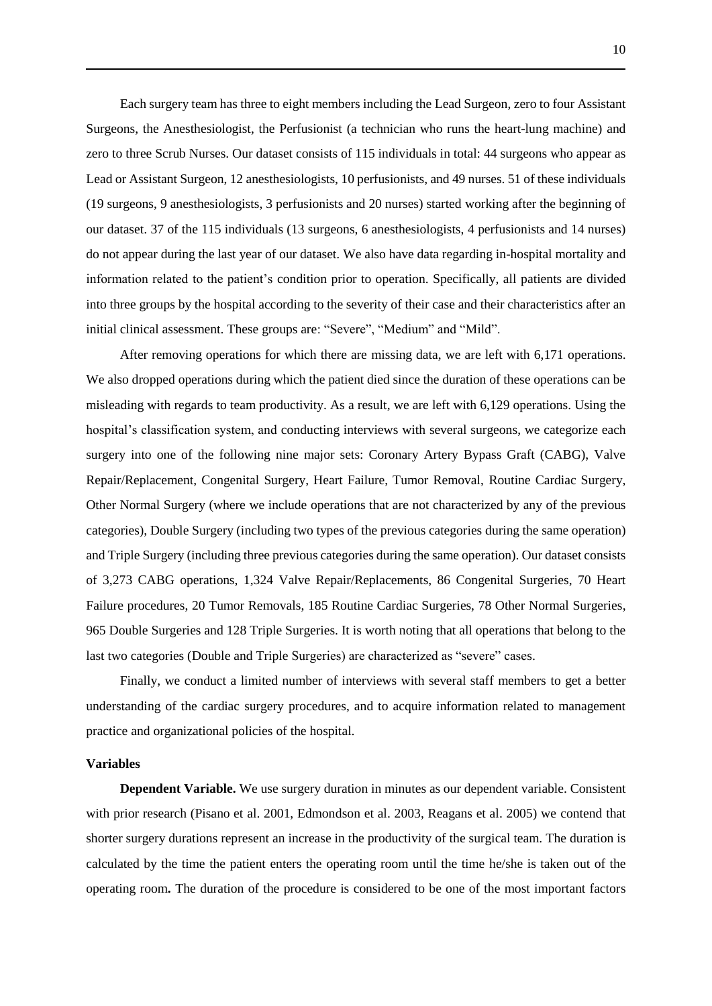Each surgery team has three to eight members including the Lead Surgeon, zero to four Assistant Surgeons, the Anesthesiologist, the Perfusionist (a technician who runs the heart-lung machine) and zero to three Scrub Nurses. Our dataset consists of 115 individuals in total: 44 surgeons who appear as Lead or Assistant Surgeon, 12 anesthesiologists, 10 perfusionists, and 49 nurses. 51 of these individuals (19 surgeons, 9 anesthesiologists, 3 perfusionists and 20 nurses) started working after the beginning of our dataset. 37 of the 115 individuals (13 surgeons, 6 anesthesiologists, 4 perfusionists and 14 nurses) do not appear during the last year of our dataset. We also have data regarding in-hospital mortality and information related to the patient's condition prior to operation. Specifically, all patients are divided into three groups by the hospital according to the severity of their case and their characteristics after an initial clinical assessment. These groups are: "Severe", "Medium" and "Mild".

After removing operations for which there are missing data, we are left with 6,171 operations. We also dropped operations during which the patient died since the duration of these operations can be misleading with regards to team productivity. As a result, we are left with 6,129 operations. Using the hospital's classification system, and conducting interviews with several surgeons, we categorize each surgery into one of the following nine major sets: Coronary Artery Bypass Graft (CABG), Valve Repair/Replacement, Congenital Surgery, Heart Failure, Tumor Removal, Routine Cardiac Surgery, Other Normal Surgery (where we include operations that are not characterized by any of the previous categories), Double Surgery (including two types of the previous categories during the same operation) and Triple Surgery (including three previous categories during the same operation). Our dataset consists of 3,273 CABG operations, 1,324 Valve Repair/Replacements, 86 Congenital Surgeries, 70 Heart Failure procedures, 20 Tumor Removals, 185 Routine Cardiac Surgeries, 78 Other Normal Surgeries, 965 Double Surgeries and 128 Triple Surgeries. It is worth noting that all operations that belong to the last two categories (Double and Triple Surgeries) are characterized as "severe" cases.

Finally, we conduct a limited number of interviews with several staff members to get a better understanding of the cardiac surgery procedures, and to acquire information related to management practice and organizational policies of the hospital.

## **Variables**

**Dependent Variable.** We use surgery duration in minutes as our dependent variable. Consistent with prior research (Pisano et al. 2001, Edmondson et al. 2003, Reagans et al. 2005) we contend that shorter surgery durations represent an increase in the productivity of the surgical team. The duration is calculated by the time the patient enters the operating room until the time he/she is taken out of the operating room**.** The duration of the procedure is considered to be one of the most important factors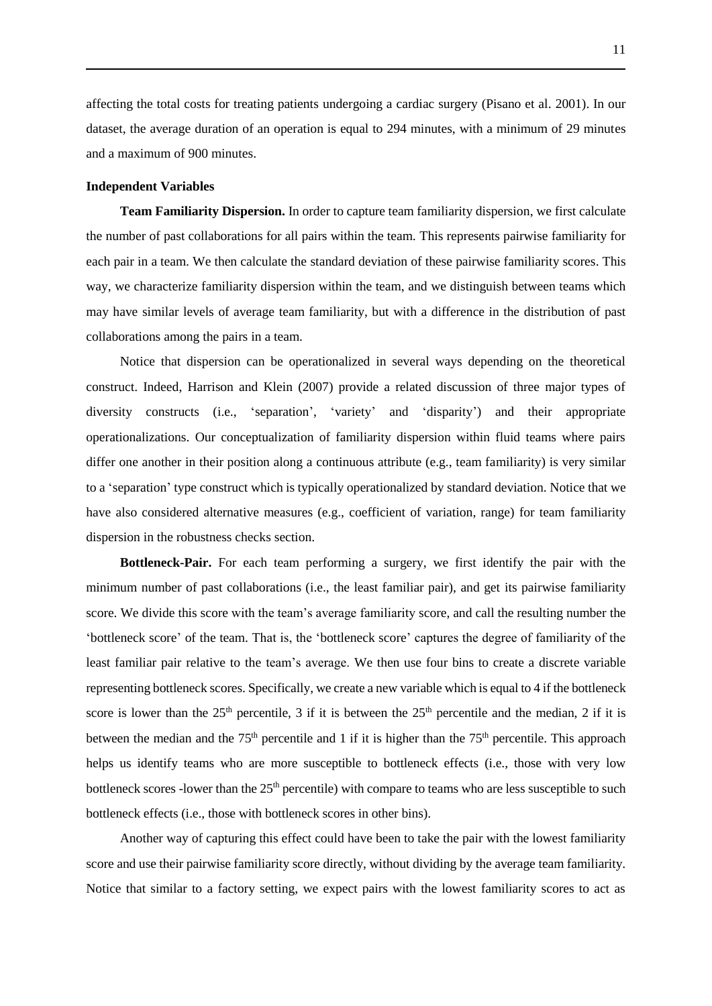affecting the total costs for treating patients undergoing a cardiac surgery (Pisano et al. 2001). In our dataset, the average duration of an operation is equal to 294 minutes, with a minimum of 29 minutes and a maximum of 900 minutes.

## **Independent Variables**

**Team Familiarity Dispersion.** In order to capture team familiarity dispersion, we first calculate the number of past collaborations for all pairs within the team. This represents pairwise familiarity for each pair in a team. We then calculate the standard deviation of these pairwise familiarity scores. This way, we characterize familiarity dispersion within the team, and we distinguish between teams which may have similar levels of average team familiarity, but with a difference in the distribution of past collaborations among the pairs in a team.

Notice that dispersion can be operationalized in several ways depending on the theoretical construct. Indeed, Harrison and Klein (2007) provide a related discussion of three major types of diversity constructs (i.e., 'separation', 'variety' and 'disparity') and their appropriate operationalizations. Our conceptualization of familiarity dispersion within fluid teams where pairs differ one another in their position along a continuous attribute (e.g., team familiarity) is very similar to a 'separation' type construct which is typically operationalized by standard deviation. Notice that we have also considered alternative measures (e.g., coefficient of variation, range) for team familiarity dispersion in the robustness checks section.

**Bottleneck-Pair.** For each team performing a surgery, we first identify the pair with the minimum number of past collaborations (i.e., the least familiar pair), and get its pairwise familiarity score. We divide this score with the team's average familiarity score, and call the resulting number the 'bottleneck score' of the team. That is, the 'bottleneck score' captures the degree of familiarity of the least familiar pair relative to the team's average. We then use four bins to create a discrete variable representing bottleneck scores. Specifically, we create a new variable which is equal to 4 if the bottleneck score is lower than the  $25<sup>th</sup>$  percentile, 3 if it is between the  $25<sup>th</sup>$  percentile and the median, 2 if it is between the median and the  $75<sup>th</sup>$  percentile and 1 if it is higher than the  $75<sup>th</sup>$  percentile. This approach helps us identify teams who are more susceptible to bottleneck effects (i.e., those with very low bottleneck scores -lower than the  $25<sup>th</sup>$  percentile) with compare to teams who are less susceptible to such bottleneck effects (i.e., those with bottleneck scores in other bins).

Another way of capturing this effect could have been to take the pair with the lowest familiarity score and use their pairwise familiarity score directly, without dividing by the average team familiarity. Notice that similar to a factory setting, we expect pairs with the lowest familiarity scores to act as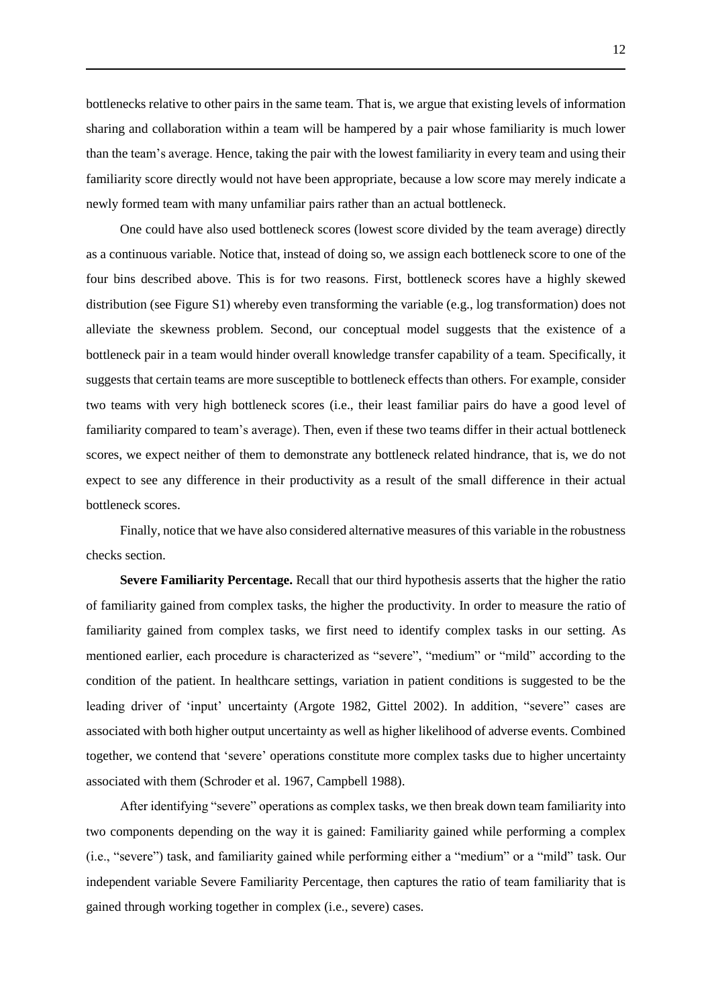bottlenecks relative to other pairs in the same team. That is, we argue that existing levels of information sharing and collaboration within a team will be hampered by a pair whose familiarity is much lower than the team's average. Hence, taking the pair with the lowest familiarity in every team and using their familiarity score directly would not have been appropriate, because a low score may merely indicate a newly formed team with many unfamiliar pairs rather than an actual bottleneck.

One could have also used bottleneck scores (lowest score divided by the team average) directly as a continuous variable. Notice that, instead of doing so, we assign each bottleneck score to one of the four bins described above. This is for two reasons. First, bottleneck scores have a highly skewed distribution (see Figure S1) whereby even transforming the variable (e.g., log transformation) does not alleviate the skewness problem. Second, our conceptual model suggests that the existence of a bottleneck pair in a team would hinder overall knowledge transfer capability of a team. Specifically, it suggests that certain teams are more susceptible to bottleneck effects than others. For example, consider two teams with very high bottleneck scores (i.e., their least familiar pairs do have a good level of familiarity compared to team's average). Then, even if these two teams differ in their actual bottleneck scores, we expect neither of them to demonstrate any bottleneck related hindrance, that is, we do not expect to see any difference in their productivity as a result of the small difference in their actual bottleneck scores.

Finally, notice that we have also considered alternative measures of this variable in the robustness checks section.

**Severe Familiarity Percentage.** Recall that our third hypothesis asserts that the higher the ratio of familiarity gained from complex tasks, the higher the productivity. In order to measure the ratio of familiarity gained from complex tasks, we first need to identify complex tasks in our setting. As mentioned earlier, each procedure is characterized as "severe", "medium" or "mild" according to the condition of the patient. In healthcare settings, variation in patient conditions is suggested to be the leading driver of 'input' uncertainty (Argote 1982, Gittel 2002). In addition, "severe" cases are associated with both higher output uncertainty as well as higher likelihood of adverse events. Combined together, we contend that 'severe' operations constitute more complex tasks due to higher uncertainty associated with them (Schroder et al. 1967, Campbell 1988).

After identifying "severe" operations as complex tasks, we then break down team familiarity into two components depending on the way it is gained: Familiarity gained while performing a complex (i.e., "severe") task, and familiarity gained while performing either a "medium" or a "mild" task. Our independent variable Severe Familiarity Percentage, then captures the ratio of team familiarity that is gained through working together in complex (i.e., severe) cases.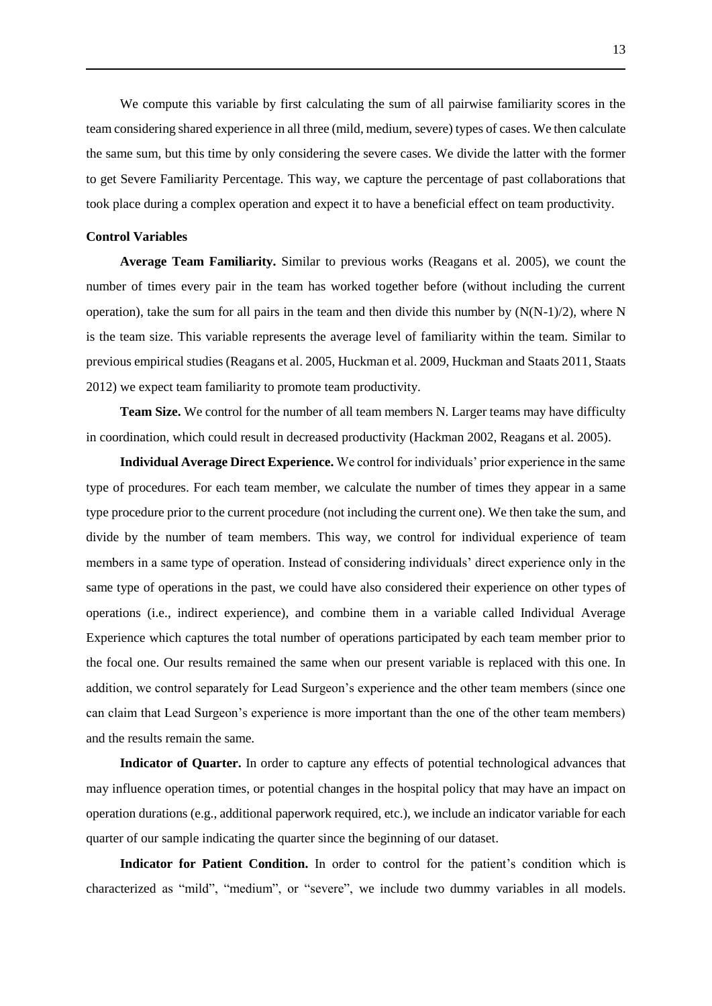We compute this variable by first calculating the sum of all pairwise familiarity scores in the team considering shared experience in all three (mild, medium, severe) types of cases. We then calculate the same sum, but this time by only considering the severe cases. We divide the latter with the former to get Severe Familiarity Percentage. This way, we capture the percentage of past collaborations that took place during a complex operation and expect it to have a beneficial effect on team productivity.

## **Control Variables**

**Average Team Familiarity.** Similar to previous works (Reagans et al. 2005), we count the number of times every pair in the team has worked together before (without including the current operation), take the sum for all pairs in the team and then divide this number by  $(N(N-1)/2)$ , where N is the team size. This variable represents the average level of familiarity within the team. Similar to previous empirical studies (Reagans et al. 2005, Huckman et al. 2009, Huckman and Staats 2011, Staats 2012) we expect team familiarity to promote team productivity.

**Team Size.** We control for the number of all team members N. Larger teams may have difficulty in coordination, which could result in decreased productivity (Hackman 2002, Reagans et al. 2005).

**Individual Average Direct Experience.** We control for individuals' prior experience in the same type of procedures. For each team member, we calculate the number of times they appear in a same type procedure prior to the current procedure (not including the current one). We then take the sum, and divide by the number of team members. This way, we control for individual experience of team members in a same type of operation. Instead of considering individuals' direct experience only in the same type of operations in the past, we could have also considered their experience on other types of operations (i.e., indirect experience), and combine them in a variable called Individual Average Experience which captures the total number of operations participated by each team member prior to the focal one. Our results remained the same when our present variable is replaced with this one. In addition, we control separately for Lead Surgeon's experience and the other team members (since one can claim that Lead Surgeon's experience is more important than the one of the other team members) and the results remain the same.

**Indicator of Quarter.** In order to capture any effects of potential technological advances that may influence operation times, or potential changes in the hospital policy that may have an impact on operation durations (e.g., additional paperwork required, etc.), we include an indicator variable for each quarter of our sample indicating the quarter since the beginning of our dataset.

**Indicator for Patient Condition.** In order to control for the patient's condition which is characterized as "mild", "medium", or "severe", we include two dummy variables in all models.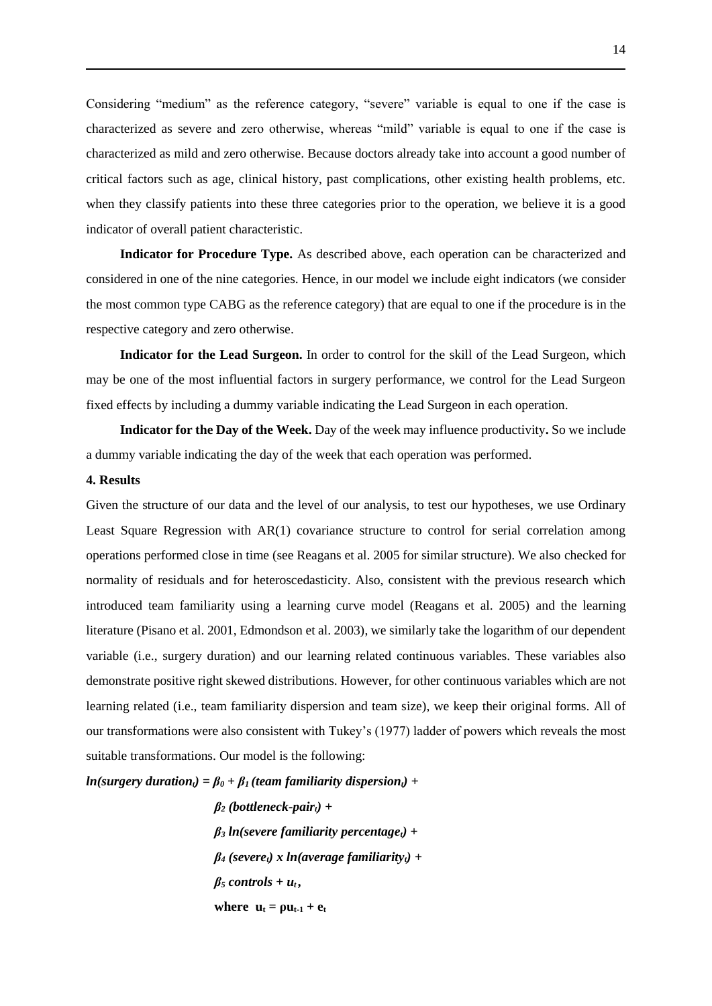Considering "medium" as the reference category, "severe" variable is equal to one if the case is characterized as severe and zero otherwise, whereas "mild" variable is equal to one if the case is characterized as mild and zero otherwise. Because doctors already take into account a good number of critical factors such as age, clinical history, past complications, other existing health problems, etc. when they classify patients into these three categories prior to the operation, we believe it is a good indicator of overall patient characteristic.

**Indicator for Procedure Type.** As described above, each operation can be characterized and considered in one of the nine categories. Hence, in our model we include eight indicators (we consider the most common type CABG as the reference category) that are equal to one if the procedure is in the respective category and zero otherwise.

**Indicator for the Lead Surgeon.** In order to control for the skill of the Lead Surgeon, which may be one of the most influential factors in surgery performance, we control for the Lead Surgeon fixed effects by including a dummy variable indicating the Lead Surgeon in each operation.

**Indicator for the Day of the Week.** Day of the week may influence productivity**.** So we include a dummy variable indicating the day of the week that each operation was performed.

#### **4. Results**

Given the structure of our data and the level of our analysis, to test our hypotheses, we use Ordinary Least Square Regression with AR(1) covariance structure to control for serial correlation among operations performed close in time (see Reagans et al. 2005 for similar structure). We also checked for normality of residuals and for heteroscedasticity. Also, consistent with the previous research which introduced team familiarity using a learning curve model (Reagans et al. 2005) and the learning literature (Pisano et al. 2001, Edmondson et al. 2003), we similarly take the logarithm of our dependent variable (i.e., surgery duration) and our learning related continuous variables. These variables also demonstrate positive right skewed distributions. However, for other continuous variables which are not learning related (i.e., team familiarity dispersion and team size), we keep their original forms. All of our transformations were also consistent with Tukey's (1977) ladder of powers which reveals the most suitable transformations. Our model is the following:

*ln(surgery duration<sub>t</sub>) =*  $\beta_0 + \beta_1$  *(team familiarity dispersion<sub>t</sub>) +* 

 $\beta_2$  *(bottleneck-pair<sub>t</sub>)* +  *β<sup>3</sup> ln(severe familiarity percentaget) +*   $\beta_4$  (severe<sub>t</sub>) x ln(average familiarity<sub>t</sub>) +  $\beta_5$  *controls* +  $u_t$ , *x* **where**  $u_t = \rho u_{t-1} + e_t$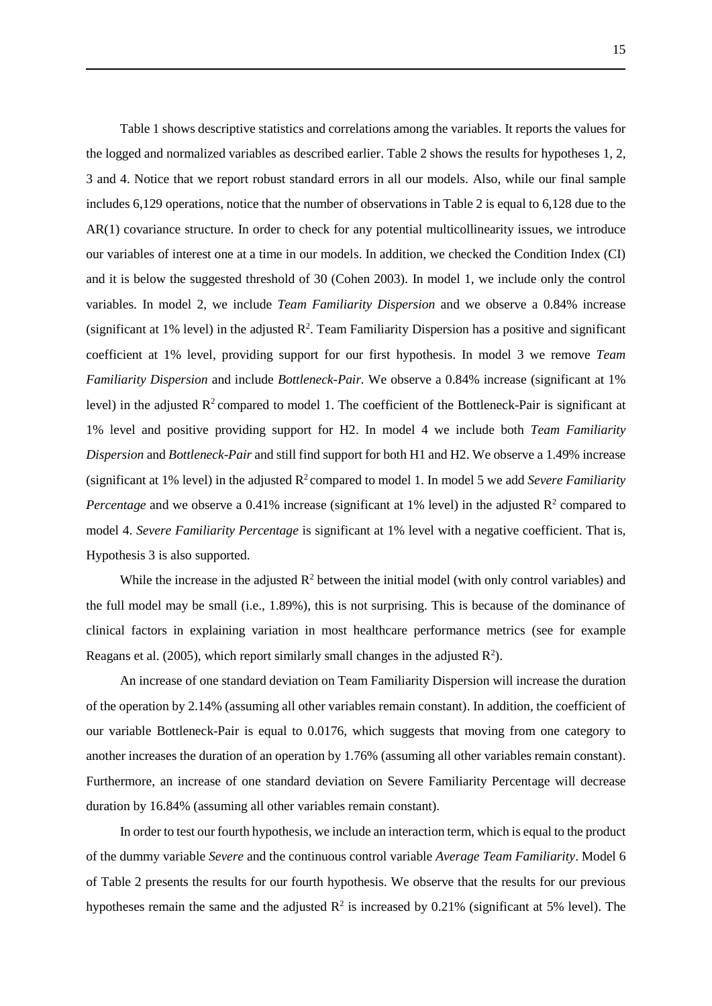Table 1 shows descriptive statistics and correlations among the variables. It reports the values for the logged and normalized variables as described earlier. Table 2 shows the results for hypotheses 1, 2, 3 and 4. Notice that we report robust standard errors in all our models. Also, while our final sample includes 6,129 operations, notice that the number of observations in Table 2 is equal to 6,128 due to the AR(1) covariance structure. In order to check for any potential multicollinearity issues, we introduce our variables of interest one at a time in our models. In addition, we checked the Condition Index (CI) and it is below the suggested threshold of 30 (Cohen 2003). In model 1, we include only the control variables. In model 2, we include *Team Familiarity Dispersion* and we observe a 0.84% increase (significant at 1% level) in the adjusted  $\mathbb{R}^2$ . Team Familiarity Dispersion has a positive and significant coefficient at 1% level, providing support for our first hypothesis. In model 3 we remove *Team Familiarity Dispersion* and include *Bottleneck-Pair.* We observe a 0.84% increase (significant at 1% level) in the adjusted  $\mathbb{R}^2$  compared to model 1. The coefficient of the Bottleneck-Pair is significant at 1% level and positive providing support for H2. In model 4 we include both *Team Familiarity Dispersion* and *Bottleneck-Pair* and still find support for both H1 and H2. We observe a 1.49% increase (significant at  $1\%$  level) in the adjusted  $\mathbb{R}^2$  compared to model 1. In model 5 we add *Severe Familiarity Percentage* and we observe a 0.41% increase (significant at 1% level) in the adjusted  $\mathbb{R}^2$  compared to model 4. *Severe Familiarity Percentage* is significant at 1% level with a negative coefficient. That is, Hypothesis 3 is also supported.

While the increase in the adjusted  $R^2$  between the initial model (with only control variables) and the full model may be small (i.e., 1.89%), this is not surprising. This is because of the dominance of clinical factors in explaining variation in most healthcare performance metrics (see for example Reagans et al. (2005), which report similarly small changes in the adjusted  $\mathbb{R}^2$ ).

An increase of one standard deviation on Team Familiarity Dispersion will increase the duration of the operation by 2.14% (assuming all other variables remain constant). In addition, the coefficient of our variable Bottleneck-Pair is equal to 0.0176, which suggests that moving from one category to another increases the duration of an operation by 1.76% (assuming all other variables remain constant). Furthermore, an increase of one standard deviation on Severe Familiarity Percentage will decrease duration by 16.84% (assuming all other variables remain constant).

In order to test our fourth hypothesis, we include an interaction term, which is equal to the product of the dummy variable *Severe* and the continuous control variable *Average Team Familiarity*. Model 6 of Table 2 presents the results for our fourth hypothesis. We observe that the results for our previous hypotheses remain the same and the adjusted  $\mathbb{R}^2$  is increased by 0.21% (significant at 5% level). The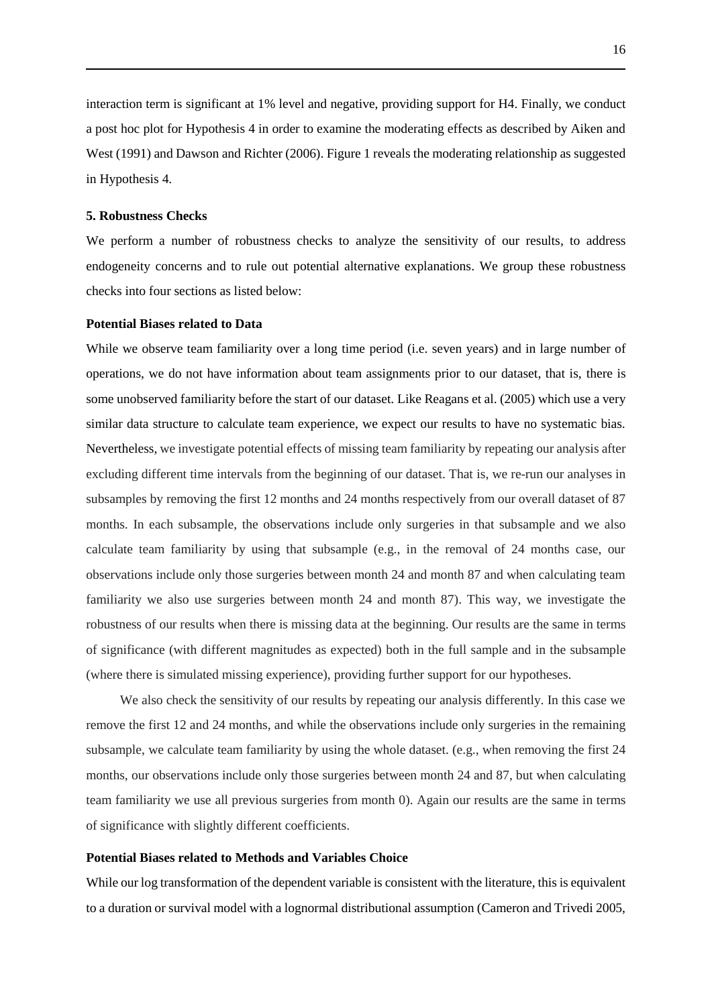interaction term is significant at 1% level and negative, providing support for H4. Finally, we conduct a post hoc plot for Hypothesis 4 in order to examine the moderating effects as described by Aiken and West (1991) and Dawson and Richter (2006). Figure 1 reveals the moderating relationship as suggested in Hypothesis 4.

## **5. Robustness Checks**

We perform a number of robustness checks to analyze the sensitivity of our results, to address endogeneity concerns and to rule out potential alternative explanations. We group these robustness checks into four sections as listed below:

## **Potential Biases related to Data**

While we observe team familiarity over a long time period (i.e. seven years) and in large number of operations, we do not have information about team assignments prior to our dataset, that is, there is some unobserved familiarity before the start of our dataset. Like Reagans et al. (2005) which use a very similar data structure to calculate team experience, we expect our results to have no systematic bias. Nevertheless, we investigate potential effects of missing team familiarity by repeating our analysis after excluding different time intervals from the beginning of our dataset. That is, we re-run our analyses in subsamples by removing the first 12 months and 24 months respectively from our overall dataset of 87 months. In each subsample, the observations include only surgeries in that subsample and we also calculate team familiarity by using that subsample (e.g., in the removal of 24 months case, our observations include only those surgeries between month 24 and month 87 and when calculating team familiarity we also use surgeries between month 24 and month 87). This way, we investigate the robustness of our results when there is missing data at the beginning. Our results are the same in terms of significance (with different magnitudes as expected) both in the full sample and in the subsample (where there is simulated missing experience), providing further support for our hypotheses.

We also check the sensitivity of our results by repeating our analysis differently. In this case we remove the first 12 and 24 months, and while the observations include only surgeries in the remaining subsample, we calculate team familiarity by using the whole dataset. (e.g., when removing the first 24 months, our observations include only those surgeries between month 24 and 87, but when calculating team familiarity we use all previous surgeries from month 0). Again our results are the same in terms of significance with slightly different coefficients.

## **Potential Biases related to Methods and Variables Choice**

While our log transformation of the dependent variable is consistent with the literature, this is equivalent to a duration or survival model with a lognormal distributional assumption (Cameron and Trivedi 2005,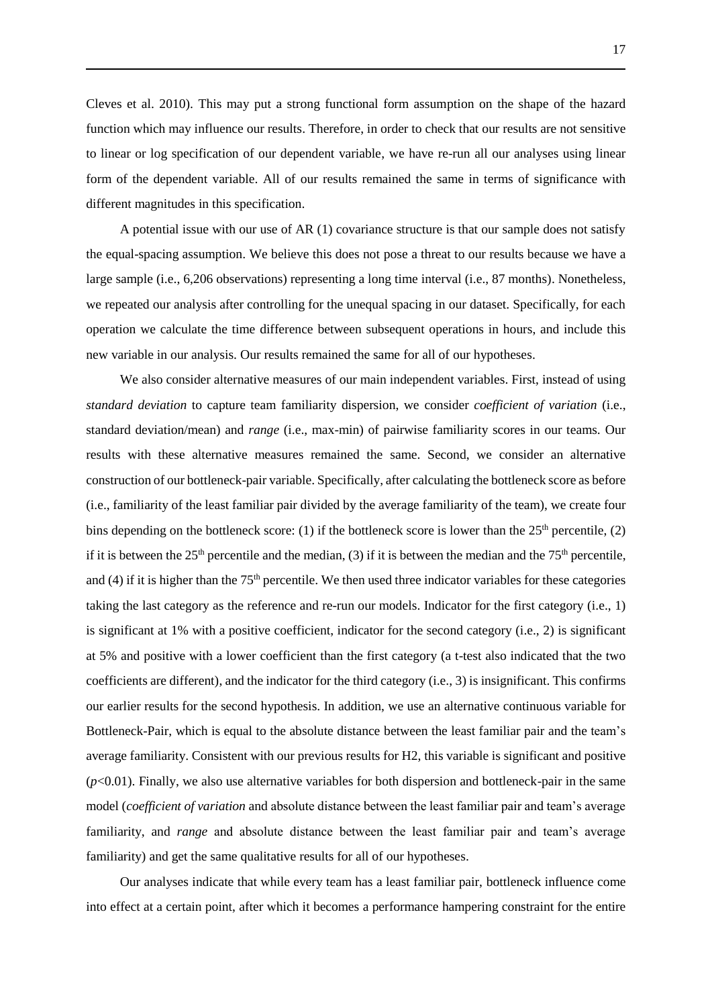Cleves et al. 2010). This may put a strong functional form assumption on the shape of the hazard function which may influence our results. Therefore, in order to check that our results are not sensitive to linear or log specification of our dependent variable, we have re-run all our analyses using linear form of the dependent variable. All of our results remained the same in terms of significance with different magnitudes in this specification.

A potential issue with our use of AR (1) covariance structure is that our sample does not satisfy the equal-spacing assumption. We believe this does not pose a threat to our results because we have a large sample (i.e., 6,206 observations) representing a long time interval (i.e., 87 months). Nonetheless, we repeated our analysis after controlling for the unequal spacing in our dataset. Specifically, for each operation we calculate the time difference between subsequent operations in hours, and include this new variable in our analysis. Our results remained the same for all of our hypotheses.

We also consider alternative measures of our main independent variables. First, instead of using *standard deviation* to capture team familiarity dispersion, we consider *coefficient of variation* (i.e., standard deviation/mean) and *range* (i.e., max-min) of pairwise familiarity scores in our teams. Our results with these alternative measures remained the same. Second, we consider an alternative construction of our bottleneck-pair variable. Specifically, after calculating the bottleneck score as before (i.e., familiarity of the least familiar pair divided by the average familiarity of the team), we create four bins depending on the bottleneck score: (1) if the bottleneck score is lower than the  $25<sup>th</sup>$  percentile, (2) if it is between the  $25<sup>th</sup>$  percentile and the median, (3) if it is between the median and the  $75<sup>th</sup>$  percentile, and (4) if it is higher than the  $75<sup>th</sup>$  percentile. We then used three indicator variables for these categories taking the last category as the reference and re-run our models. Indicator for the first category (i.e., 1) is significant at 1% with a positive coefficient, indicator for the second category (i.e., 2) is significant at 5% and positive with a lower coefficient than the first category (a t-test also indicated that the two coefficients are different), and the indicator for the third category (i.e., 3) is insignificant. This confirms our earlier results for the second hypothesis. In addition, we use an alternative continuous variable for Bottleneck-Pair, which is equal to the absolute distance between the least familiar pair and the team's average familiarity. Consistent with our previous results for H2, this variable is significant and positive  $(p<0.01)$ . Finally, we also use alternative variables for both dispersion and bottleneck-pair in the same model (*coefficient of variation* and absolute distance between the least familiar pair and team's average familiarity, and *range* and absolute distance between the least familiar pair and team's average familiarity) and get the same qualitative results for all of our hypotheses.

Our analyses indicate that while every team has a least familiar pair, bottleneck influence come into effect at a certain point, after which it becomes a performance hampering constraint for the entire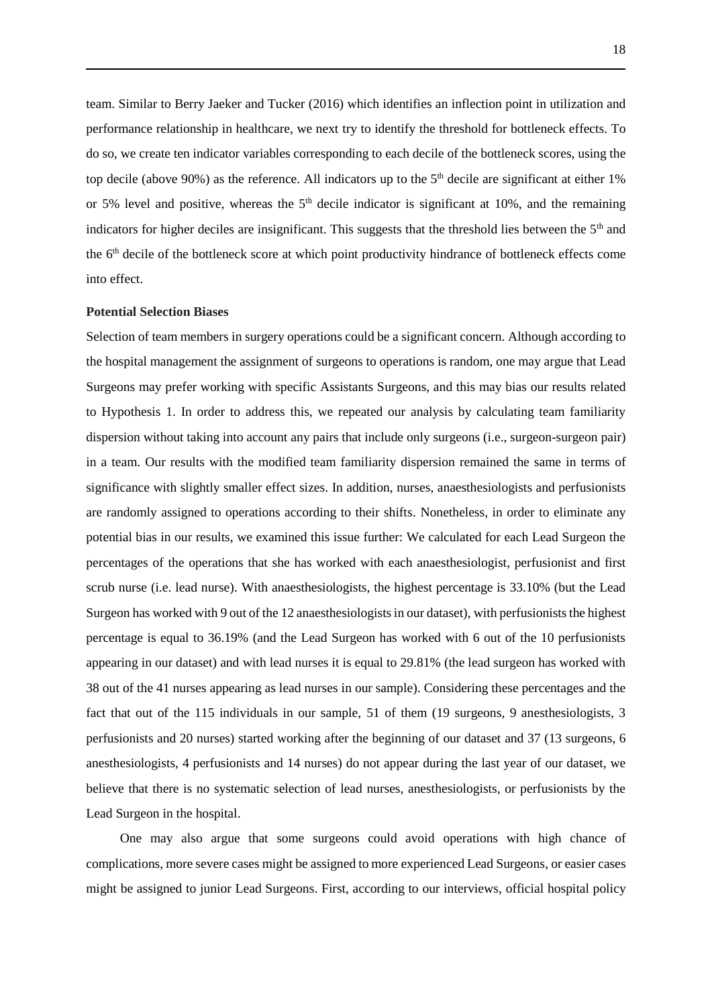team. Similar to Berry Jaeker and Tucker (2016) which identifies an inflection point in utilization and performance relationship in healthcare, we next try to identify the threshold for bottleneck effects. To do so, we create ten indicator variables corresponding to each decile of the bottleneck scores, using the top decile (above  $90\%$ ) as the reference. All indicators up to the  $5<sup>th</sup>$  decile are significant at either  $1\%$ or 5% level and positive, whereas the  $5<sup>th</sup>$  decile indicator is significant at 10%, and the remaining indicators for higher deciles are insignificant. This suggests that the threshold lies between the 5<sup>th</sup> and the 6<sup>th</sup> decile of the bottleneck score at which point productivity hindrance of bottleneck effects come into effect.

#### **Potential Selection Biases**

Selection of team members in surgery operations could be a significant concern. Although according to the hospital management the assignment of surgeons to operations is random, one may argue that Lead Surgeons may prefer working with specific Assistants Surgeons, and this may bias our results related to Hypothesis 1. In order to address this, we repeated our analysis by calculating team familiarity dispersion without taking into account any pairs that include only surgeons (i.e., surgeon-surgeon pair) in a team. Our results with the modified team familiarity dispersion remained the same in terms of significance with slightly smaller effect sizes. In addition, nurses, anaesthesiologists and perfusionists are randomly assigned to operations according to their shifts. Nonetheless, in order to eliminate any potential bias in our results, we examined this issue further: We calculated for each Lead Surgeon the percentages of the operations that she has worked with each anaesthesiologist, perfusionist and first scrub nurse (i.e. lead nurse). With anaesthesiologists, the highest percentage is 33.10% (but the Lead Surgeon has worked with 9 out of the 12 anaesthesiologists in our dataset), with perfusionists the highest percentage is equal to 36.19% (and the Lead Surgeon has worked with 6 out of the 10 perfusionists appearing in our dataset) and with lead nurses it is equal to 29.81% (the lead surgeon has worked with 38 out of the 41 nurses appearing as lead nurses in our sample). Considering these percentages and the fact that out of the 115 individuals in our sample, 51 of them (19 surgeons, 9 anesthesiologists, 3 perfusionists and 20 nurses) started working after the beginning of our dataset and 37 (13 surgeons, 6 anesthesiologists, 4 perfusionists and 14 nurses) do not appear during the last year of our dataset, we believe that there is no systematic selection of lead nurses, anesthesiologists, or perfusionists by the Lead Surgeon in the hospital.

One may also argue that some surgeons could avoid operations with high chance of complications, more severe cases might be assigned to more experienced Lead Surgeons, or easier cases might be assigned to junior Lead Surgeons. First, according to our interviews, official hospital policy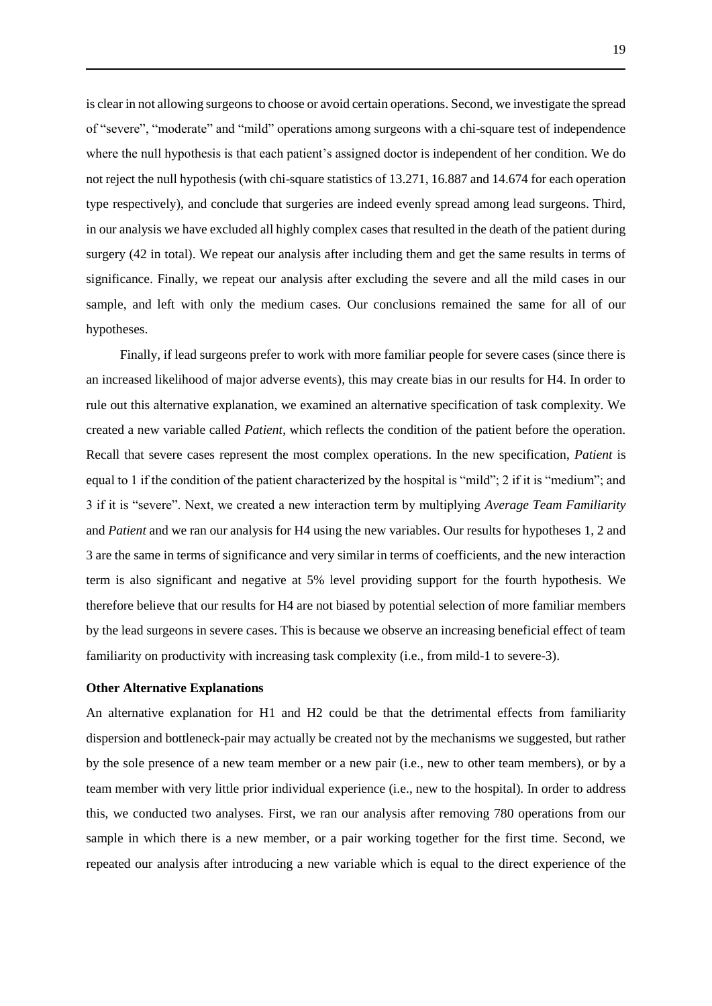is clear in not allowing surgeonsto choose or avoid certain operations. Second, we investigate the spread of "severe", "moderate" and "mild" operations among surgeons with a chi-square test of independence where the null hypothesis is that each patient's assigned doctor is independent of her condition. We do not reject the null hypothesis (with chi-square statistics of 13.271, 16.887 and 14.674 for each operation type respectively), and conclude that surgeries are indeed evenly spread among lead surgeons. Third, in our analysis we have excluded all highly complex cases that resulted in the death of the patient during surgery (42 in total). We repeat our analysis after including them and get the same results in terms of significance. Finally, we repeat our analysis after excluding the severe and all the mild cases in our sample, and left with only the medium cases. Our conclusions remained the same for all of our hypotheses.

Finally, if lead surgeons prefer to work with more familiar people for severe cases (since there is an increased likelihood of major adverse events), this may create bias in our results for H4. In order to rule out this alternative explanation, we examined an alternative specification of task complexity. We created a new variable called *Patient*, which reflects the condition of the patient before the operation. Recall that severe cases represent the most complex operations. In the new specification, *Patient* is equal to 1 if the condition of the patient characterized by the hospital is "mild"; 2 if it is "medium"; and 3 if it is "severe". Next, we created a new interaction term by multiplying *Average Team Familiarity* and *Patient* and we ran our analysis for H4 using the new variables. Our results for hypotheses 1, 2 and 3 are the same in terms of significance and very similar in terms of coefficients, and the new interaction term is also significant and negative at 5% level providing support for the fourth hypothesis. We therefore believe that our results for H4 are not biased by potential selection of more familiar members by the lead surgeons in severe cases. This is because we observe an increasing beneficial effect of team familiarity on productivity with increasing task complexity (i.e., from mild-1 to severe-3).

### **Other Alternative Explanations**

An alternative explanation for H1 and H2 could be that the detrimental effects from familiarity dispersion and bottleneck-pair may actually be created not by the mechanisms we suggested, but rather by the sole presence of a new team member or a new pair (i.e., new to other team members), or by a team member with very little prior individual experience (i.e., new to the hospital). In order to address this, we conducted two analyses. First, we ran our analysis after removing 780 operations from our sample in which there is a new member, or a pair working together for the first time. Second, we repeated our analysis after introducing a new variable which is equal to the direct experience of the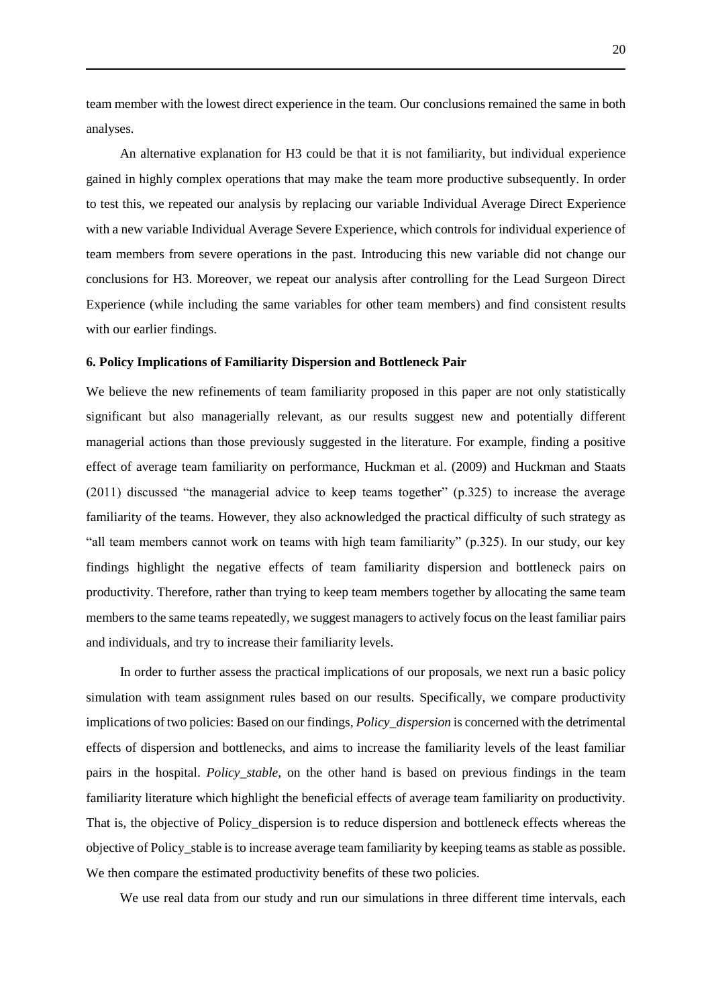team member with the lowest direct experience in the team. Our conclusions remained the same in both analyses.

An alternative explanation for H3 could be that it is not familiarity, but individual experience gained in highly complex operations that may make the team more productive subsequently. In order to test this, we repeated our analysis by replacing our variable Individual Average Direct Experience with a new variable Individual Average Severe Experience, which controls for individual experience of team members from severe operations in the past. Introducing this new variable did not change our conclusions for H3. Moreover, we repeat our analysis after controlling for the Lead Surgeon Direct Experience (while including the same variables for other team members) and find consistent results with our earlier findings.

## **6. Policy Implications of Familiarity Dispersion and Bottleneck Pair**

We believe the new refinements of team familiarity proposed in this paper are not only statistically significant but also managerially relevant, as our results suggest new and potentially different managerial actions than those previously suggested in the literature. For example, finding a positive effect of average team familiarity on performance, Huckman et al. (2009) and Huckman and Staats (2011) discussed "the managerial advice to keep teams together" (p.325) to increase the average familiarity of the teams. However, they also acknowledged the practical difficulty of such strategy as "all team members cannot work on teams with high team familiarity" (p.325). In our study, our key findings highlight the negative effects of team familiarity dispersion and bottleneck pairs on productivity. Therefore, rather than trying to keep team members together by allocating the same team members to the same teams repeatedly, we suggest managers to actively focus on the least familiar pairs and individuals, and try to increase their familiarity levels.

In order to further assess the practical implications of our proposals, we next run a basic policy simulation with team assignment rules based on our results. Specifically, we compare productivity implications of two policies: Based on our findings, *Policy\_dispersion* is concerned with the detrimental effects of dispersion and bottlenecks, and aims to increase the familiarity levels of the least familiar pairs in the hospital. *Policy\_stable*, on the other hand is based on previous findings in the team familiarity literature which highlight the beneficial effects of average team familiarity on productivity. That is, the objective of Policy\_dispersion is to reduce dispersion and bottleneck effects whereas the objective of Policy\_stable is to increase average team familiarity by keeping teams as stable as possible. We then compare the estimated productivity benefits of these two policies.

We use real data from our study and run our simulations in three different time intervals, each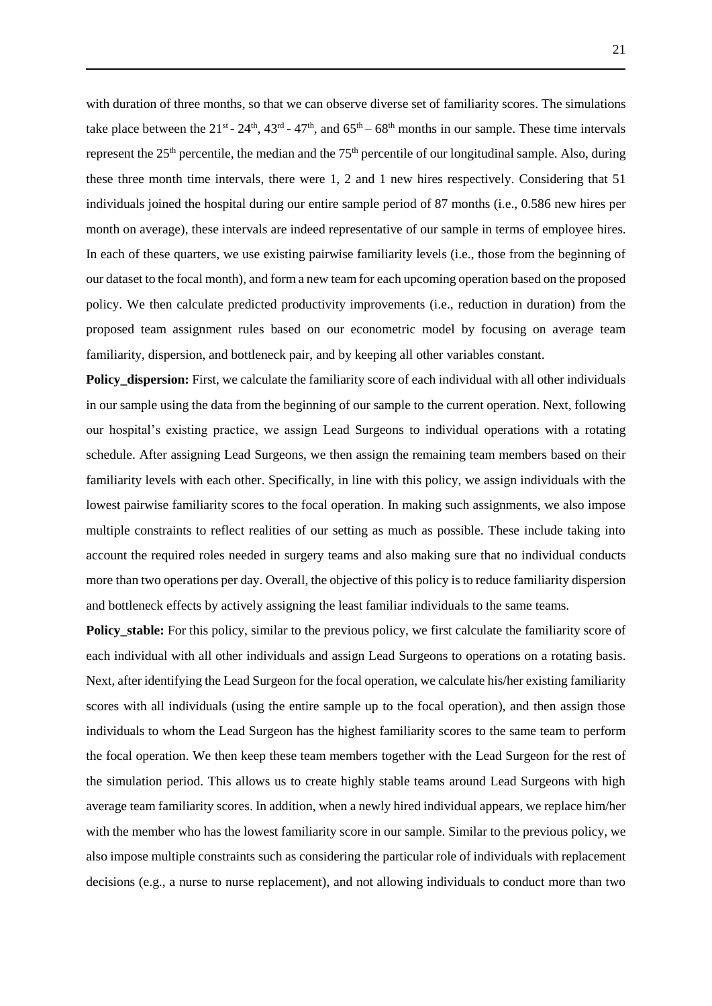with duration of three months, so that we can observe diverse set of familiarity scores. The simulations take place between the 21<sup>st</sup> - 24<sup>th</sup>, 43<sup>rd</sup> - 47<sup>th</sup>, and  $65<sup>th</sup>$  – 68<sup>th</sup> months in our sample. These time intervals represent the  $25<sup>th</sup>$  percentile, the median and the  $75<sup>th</sup>$  percentile of our longitudinal sample. Also, during these three month time intervals, there were 1, 2 and 1 new hires respectively. Considering that 51 individuals joined the hospital during our entire sample period of 87 months (i.e., 0.586 new hires per month on average), these intervals are indeed representative of our sample in terms of employee hires. In each of these quarters, we use existing pairwise familiarity levels (i.e., those from the beginning of our dataset to the focal month), and form a new team for each upcoming operation based on the proposed policy. We then calculate predicted productivity improvements (i.e., reduction in duration) from the proposed team assignment rules based on our econometric model by focusing on average team familiarity, dispersion, and bottleneck pair, and by keeping all other variables constant.

**Policy\_dispersion:** First, we calculate the familiarity score of each individual with all other individuals in our sample using the data from the beginning of our sample to the current operation. Next, following our hospital's existing practice, we assign Lead Surgeons to individual operations with a rotating schedule. After assigning Lead Surgeons, we then assign the remaining team members based on their familiarity levels with each other. Specifically, in line with this policy, we assign individuals with the lowest pairwise familiarity scores to the focal operation. In making such assignments, we also impose multiple constraints to reflect realities of our setting as much as possible. These include taking into account the required roles needed in surgery teams and also making sure that no individual conducts more than two operations per day. Overall, the objective of this policy is to reduce familiarity dispersion and bottleneck effects by actively assigning the least familiar individuals to the same teams.

**Policy\_stable:** For this policy, similar to the previous policy, we first calculate the familiarity score of each individual with all other individuals and assign Lead Surgeons to operations on a rotating basis. Next, after identifying the Lead Surgeon for the focal operation, we calculate his/her existing familiarity scores with all individuals (using the entire sample up to the focal operation), and then assign those individuals to whom the Lead Surgeon has the highest familiarity scores to the same team to perform the focal operation. We then keep these team members together with the Lead Surgeon for the rest of the simulation period. This allows us to create highly stable teams around Lead Surgeons with high average team familiarity scores. In addition, when a newly hired individual appears, we replace him/her with the member who has the lowest familiarity score in our sample. Similar to the previous policy, we also impose multiple constraints such as considering the particular role of individuals with replacement decisions (e.g., a nurse to nurse replacement), and not allowing individuals to conduct more than two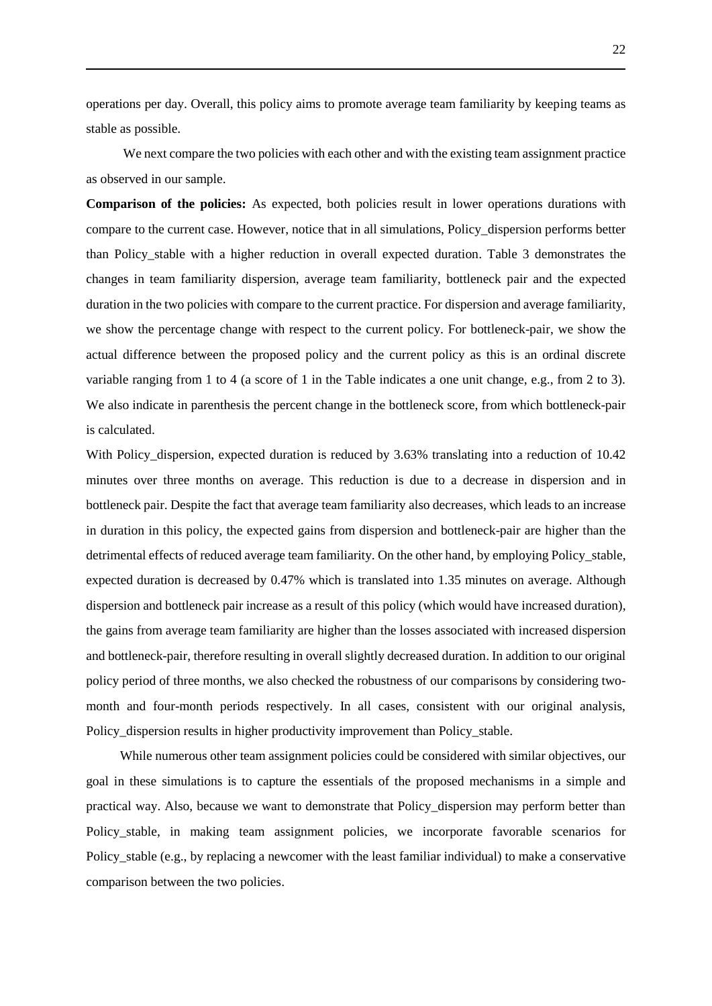operations per day. Overall, this policy aims to promote average team familiarity by keeping teams as stable as possible.

We next compare the two policies with each other and with the existing team assignment practice as observed in our sample.

**Comparison of the policies:** As expected, both policies result in lower operations durations with compare to the current case. However, notice that in all simulations, Policy\_dispersion performs better than Policy\_stable with a higher reduction in overall expected duration. Table 3 demonstrates the changes in team familiarity dispersion, average team familiarity, bottleneck pair and the expected duration in the two policies with compare to the current practice. For dispersion and average familiarity, we show the percentage change with respect to the current policy. For bottleneck-pair, we show the actual difference between the proposed policy and the current policy as this is an ordinal discrete variable ranging from 1 to 4 (a score of 1 in the Table indicates a one unit change, e.g., from 2 to 3). We also indicate in parenthesis the percent change in the bottleneck score, from which bottleneck-pair is calculated.

With Policy dispersion, expected duration is reduced by 3.63% translating into a reduction of 10.42 minutes over three months on average. This reduction is due to a decrease in dispersion and in bottleneck pair. Despite the fact that average team familiarity also decreases, which leads to an increase in duration in this policy, the expected gains from dispersion and bottleneck-pair are higher than the detrimental effects of reduced average team familiarity. On the other hand, by employing Policy\_stable, expected duration is decreased by 0.47% which is translated into 1.35 minutes on average. Although dispersion and bottleneck pair increase as a result of this policy (which would have increased duration), the gains from average team familiarity are higher than the losses associated with increased dispersion and bottleneck-pair, therefore resulting in overall slightly decreased duration. In addition to our original policy period of three months, we also checked the robustness of our comparisons by considering twomonth and four-month periods respectively. In all cases, consistent with our original analysis, Policy\_dispersion results in higher productivity improvement than Policy\_stable.

While numerous other team assignment policies could be considered with similar objectives, our goal in these simulations is to capture the essentials of the proposed mechanisms in a simple and practical way. Also, because we want to demonstrate that Policy\_dispersion may perform better than Policy\_stable, in making team assignment policies, we incorporate favorable scenarios for Policy stable (e.g., by replacing a newcomer with the least familiar individual) to make a conservative comparison between the two policies.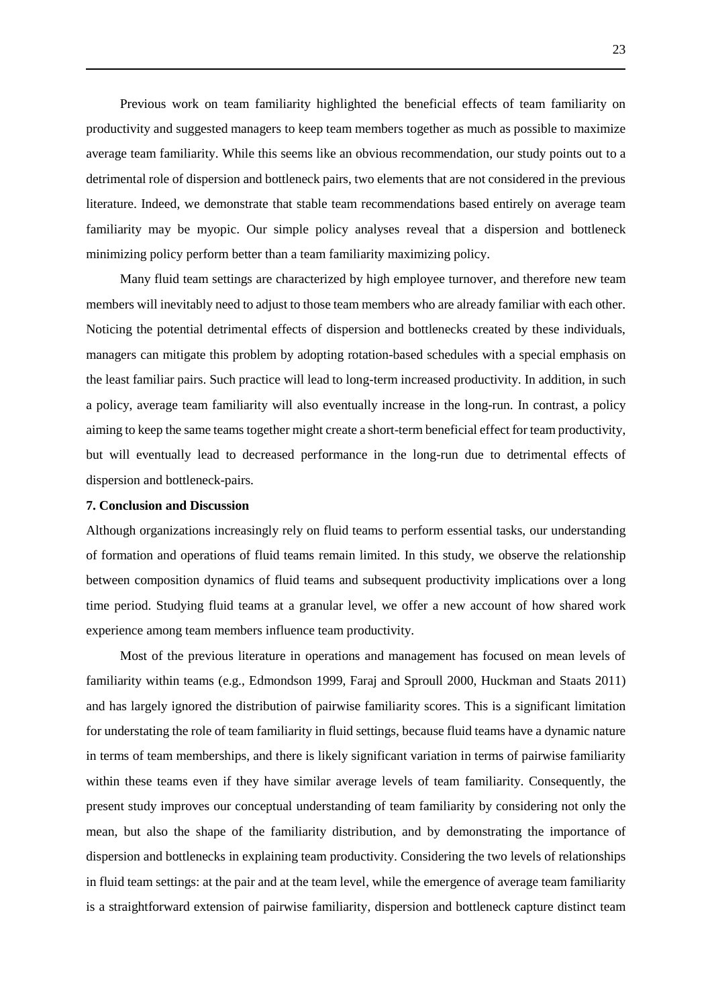Previous work on team familiarity highlighted the beneficial effects of team familiarity on productivity and suggested managers to keep team members together as much as possible to maximize average team familiarity. While this seems like an obvious recommendation, our study points out to a detrimental role of dispersion and bottleneck pairs, two elements that are not considered in the previous literature. Indeed, we demonstrate that stable team recommendations based entirely on average team familiarity may be myopic. Our simple policy analyses reveal that a dispersion and bottleneck minimizing policy perform better than a team familiarity maximizing policy.

Many fluid team settings are characterized by high employee turnover, and therefore new team members will inevitably need to adjust to those team members who are already familiar with each other. Noticing the potential detrimental effects of dispersion and bottlenecks created by these individuals, managers can mitigate this problem by adopting rotation-based schedules with a special emphasis on the least familiar pairs. Such practice will lead to long-term increased productivity. In addition, in such a policy, average team familiarity will also eventually increase in the long-run. In contrast, a policy aiming to keep the same teams together might create a short-term beneficial effect for team productivity, but will eventually lead to decreased performance in the long-run due to detrimental effects of dispersion and bottleneck-pairs.

### **7. Conclusion and Discussion**

Although organizations increasingly rely on fluid teams to perform essential tasks, our understanding of formation and operations of fluid teams remain limited. In this study, we observe the relationship between composition dynamics of fluid teams and subsequent productivity implications over a long time period. Studying fluid teams at a granular level, we offer a new account of how shared work experience among team members influence team productivity.

Most of the previous literature in operations and management has focused on mean levels of familiarity within teams (e.g., Edmondson 1999, Faraj and Sproull 2000, Huckman and Staats 2011) and has largely ignored the distribution of pairwise familiarity scores. This is a significant limitation for understating the role of team familiarity in fluid settings, because fluid teams have a dynamic nature in terms of team memberships, and there is likely significant variation in terms of pairwise familiarity within these teams even if they have similar average levels of team familiarity. Consequently, the present study improves our conceptual understanding of team familiarity by considering not only the mean, but also the shape of the familiarity distribution, and by demonstrating the importance of dispersion and bottlenecks in explaining team productivity. Considering the two levels of relationships in fluid team settings: at the pair and at the team level, while the emergence of average team familiarity is a straightforward extension of pairwise familiarity, dispersion and bottleneck capture distinct team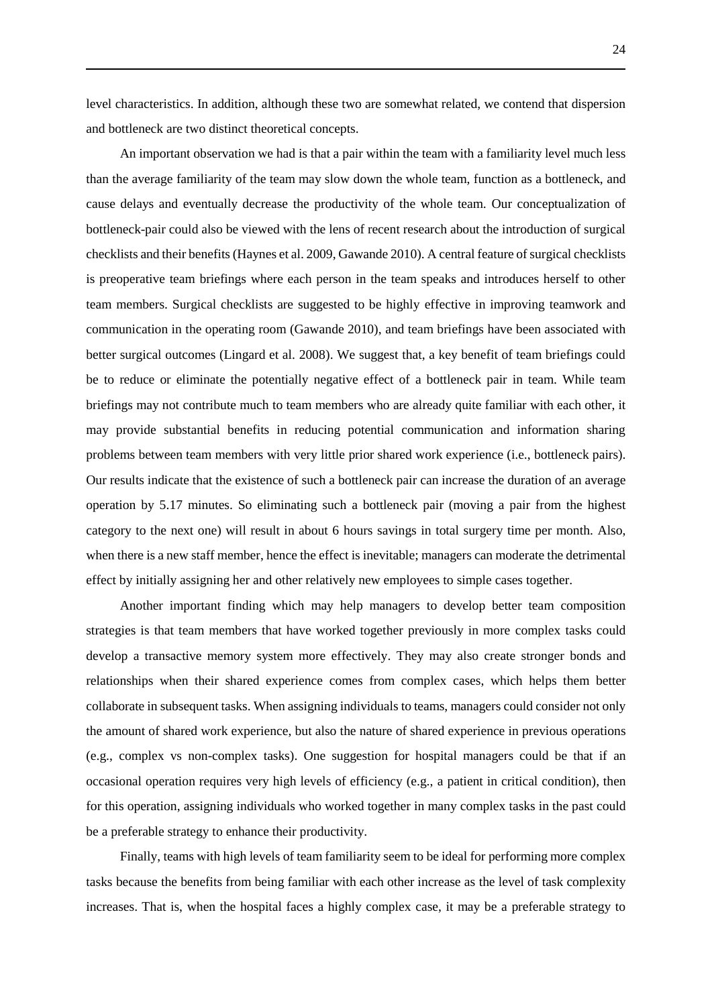level characteristics. In addition, although these two are somewhat related, we contend that dispersion and bottleneck are two distinct theoretical concepts.

An important observation we had is that a pair within the team with a familiarity level much less than the average familiarity of the team may slow down the whole team, function as a bottleneck, and cause delays and eventually decrease the productivity of the whole team. Our conceptualization of bottleneck-pair could also be viewed with the lens of recent research about the introduction of surgical checklists and their benefits (Haynes et al. 2009, Gawande 2010). A central feature of surgical checklists is preoperative team briefings where each person in the team speaks and introduces herself to other team members. Surgical checklists are suggested to be highly effective in improving teamwork and communication in the operating room (Gawande 2010), and team briefings have been associated with better surgical outcomes (Lingard et al. 2008). We suggest that, a key benefit of team briefings could be to reduce or eliminate the potentially negative effect of a bottleneck pair in team. While team briefings may not contribute much to team members who are already quite familiar with each other, it may provide substantial benefits in reducing potential communication and information sharing problems between team members with very little prior shared work experience (i.e., bottleneck pairs). Our results indicate that the existence of such a bottleneck pair can increase the duration of an average operation by 5.17 minutes. So eliminating such a bottleneck pair (moving a pair from the highest category to the next one) will result in about 6 hours savings in total surgery time per month. Also, when there is a new staff member, hence the effect is inevitable; managers can moderate the detrimental effect by initially assigning her and other relatively new employees to simple cases together.

Another important finding which may help managers to develop better team composition strategies is that team members that have worked together previously in more complex tasks could develop a transactive memory system more effectively. They may also create stronger bonds and relationships when their shared experience comes from complex cases, which helps them better collaborate in subsequent tasks. When assigning individuals to teams, managers could consider not only the amount of shared work experience, but also the nature of shared experience in previous operations (e.g., complex vs non-complex tasks). One suggestion for hospital managers could be that if an occasional operation requires very high levels of efficiency (e.g., a patient in critical condition), then for this operation, assigning individuals who worked together in many complex tasks in the past could be a preferable strategy to enhance their productivity.

Finally, teams with high levels of team familiarity seem to be ideal for performing more complex tasks because the benefits from being familiar with each other increase as the level of task complexity increases. That is, when the hospital faces a highly complex case, it may be a preferable strategy to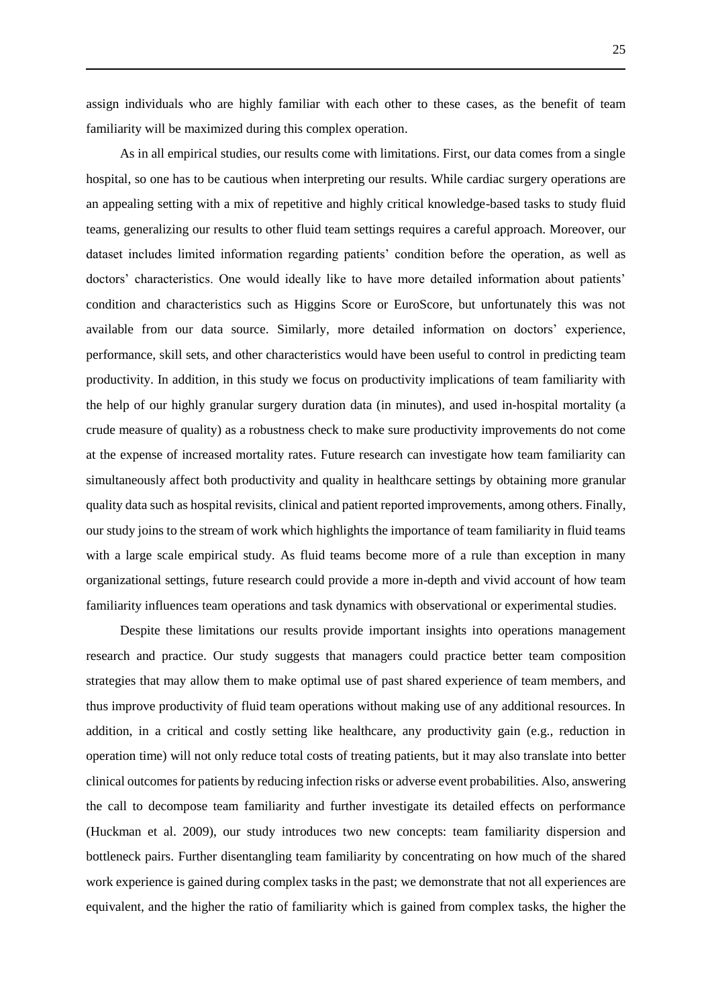assign individuals who are highly familiar with each other to these cases, as the benefit of team familiarity will be maximized during this complex operation.

As in all empirical studies, our results come with limitations. First, our data comes from a single hospital, so one has to be cautious when interpreting our results. While cardiac surgery operations are an appealing setting with a mix of repetitive and highly critical knowledge-based tasks to study fluid teams, generalizing our results to other fluid team settings requires a careful approach. Moreover, our dataset includes limited information regarding patients' condition before the operation, as well as doctors' characteristics. One would ideally like to have more detailed information about patients' condition and characteristics such as Higgins Score or EuroScore, but unfortunately this was not available from our data source. Similarly, more detailed information on doctors' experience, performance, skill sets, and other characteristics would have been useful to control in predicting team productivity. In addition, in this study we focus on productivity implications of team familiarity with the help of our highly granular surgery duration data (in minutes), and used in-hospital mortality (a crude measure of quality) as a robustness check to make sure productivity improvements do not come at the expense of increased mortality rates. Future research can investigate how team familiarity can simultaneously affect both productivity and quality in healthcare settings by obtaining more granular quality data such as hospital revisits, clinical and patient reported improvements, among others. Finally, our study joins to the stream of work which highlights the importance of team familiarity in fluid teams with a large scale empirical study. As fluid teams become more of a rule than exception in many organizational settings, future research could provide a more in-depth and vivid account of how team familiarity influences team operations and task dynamics with observational or experimental studies.

Despite these limitations our results provide important insights into operations management research and practice. Our study suggests that managers could practice better team composition strategies that may allow them to make optimal use of past shared experience of team members, and thus improve productivity of fluid team operations without making use of any additional resources. In addition, in a critical and costly setting like healthcare, any productivity gain (e.g., reduction in operation time) will not only reduce total costs of treating patients, but it may also translate into better clinical outcomes for patients by reducing infection risks or adverse event probabilities. Also, answering the call to decompose team familiarity and further investigate its detailed effects on performance (Huckman et al. 2009), our study introduces two new concepts: team familiarity dispersion and bottleneck pairs. Further disentangling team familiarity by concentrating on how much of the shared work experience is gained during complex tasks in the past; we demonstrate that not all experiences are equivalent, and the higher the ratio of familiarity which is gained from complex tasks, the higher the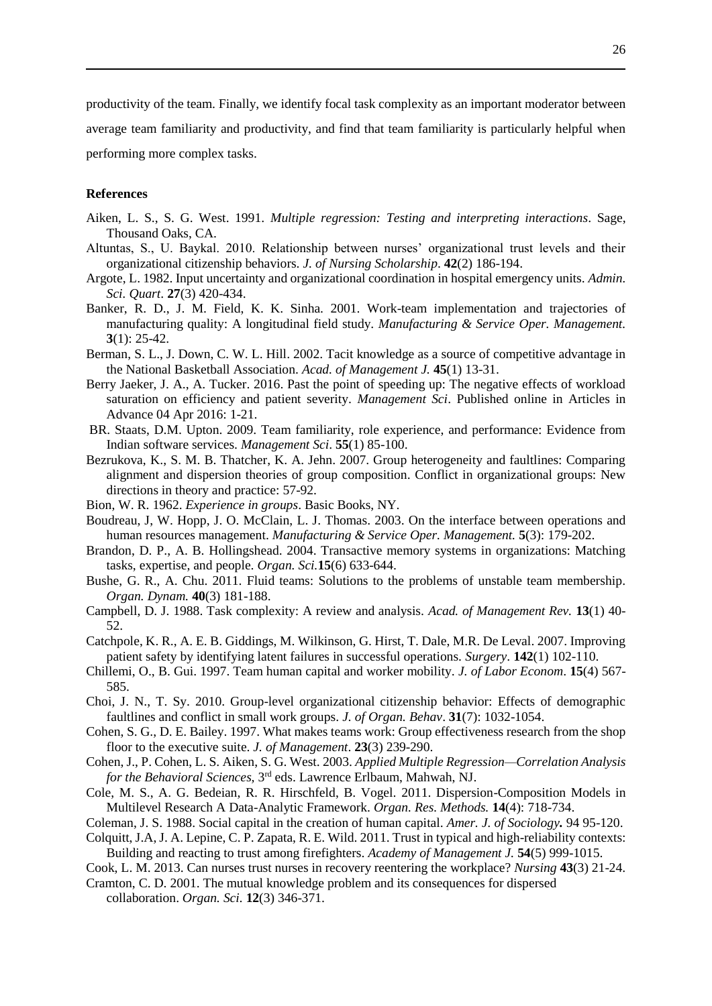productivity of the team. Finally, we identify focal task complexity as an important moderator between

average team familiarity and productivity, and find that team familiarity is particularly helpful when

performing more complex tasks.

## **References**

- Aiken, L. S., S. G. West. 1991. *Multiple regression: Testing and interpreting interactions*. Sage, Thousand Oaks, CA.
- Altuntas, S., U. Baykal. 2010. Relationship between nurses' organizational trust levels and their organizational citizenship behaviors. *J. of Nursing Scholarship*. **42**(2) 186-194.
- Argote, L. 1982. Input uncertainty and organizational coordination in hospital emergency units. *Admin. Sci. Quart*. **27**(3) 420-434.
- Banker, R. D., J. M. Field, K. K. Sinha. 2001. Work-team implementation and trajectories of manufacturing quality: A longitudinal field study. *Manufacturing & Service Oper. Management.* **3**(1): 25-42.
- Berman, S. L., J. Down, C. W. L. Hill. 2002. Tacit knowledge as a source of competitive advantage in the National Basketball Association. *Acad. of Management J.* **45**(1) 13-31.
- Berry Jaeker, J. A., A. Tucker. 2016. Past the point of speeding up: The negative effects of workload saturation on efficiency and patient severity. *Management Sci*. Published online in Articles in Advance 04 Apr 2016: 1-21.
- BR. Staats, D.M. Upton. 2009. Team familiarity, role experience, and performance: Evidence from Indian software services. *Management Sci*. **55**(1) 85-100.
- Bezrukova, K., S. M. B. Thatcher, K. A. Jehn. 2007. Group heterogeneity and faultlines: Comparing alignment and dispersion theories of group composition. Conflict in organizational groups: New directions in theory and practice: 57-92.
- Bion, W. R. 1962. *Experience in groups*. Basic Books, NY.
- Boudreau, J, W. Hopp, J. O. McClain, L. J. Thomas. 2003. On the interface between operations and human resources management. *Manufacturing & Service Oper. Management.* **5**(3): 179-202.
- Brandon, D. P., A. B. Hollingshead. 2004. Transactive memory systems in organizations: Matching tasks, expertise, and people. *Organ. Sci.***15**(6) 633-644.
- Bushe, G. R., A. Chu. 2011. Fluid teams: Solutions to the problems of unstable team membership. *Organ. Dynam.* **40**(3) 181-188.
- Campbell, D. J. 1988. Task complexity: A review and analysis. *Acad. of Management Rev.* **13**(1) 40- 52.
- Catchpole, K. R., A. E. B. Giddings, M. Wilkinson, G. Hirst, T. Dale, M.R. De Leval. 2007. Improving patient safety by identifying latent failures in successful operations. *Surgery*. **142**(1) 102-110.
- Chillemi, O., B. Gui. 1997. Team human capital and worker mobility. *J. of Labor Econom*. **15**(4) 567- 585.
- Choi, J. N., T. Sy. 2010. Group-level organizational citizenship behavior: Effects of demographic faultlines and conflict in small work groups. *J. of Organ. Behav*. **31**(7): 1032-1054.
- Cohen, S. G., D. E. Bailey. 1997. What makes teams work: Group effectiveness research from the shop floor to the executive suite. *J. of Management*. **23**(3) 239-290.
- Cohen, J., P. Cohen, L. S. Aiken, S. G. West. 2003. *Applied Multiple Regression—Correlation Analysis*  for the Behavioral Sciences, 3<sup>rd</sup> eds. Lawrence Erlbaum, Mahwah, NJ.
- Cole, M. S., A. G. Bedeian, R. R. Hirschfeld, B. Vogel. 2011. Dispersion-Composition Models in Multilevel Research A Data-Analytic Framework. *Organ. Res. Methods.* **14**(4): 718-734.
- Coleman, J. S. 1988. Social capital in the creation of human capital. *Amer. J. of Sociology.* 94 95-120.
- Colquitt, J.A, J. A. Lepine, C. P. Zapata, R. E. Wild. 2011. Trust in typical and high-reliability contexts: Building and reacting to trust among firefighters. *Academy of Management J.* **54**(5) 999-1015.
- Cook, L. M. 2013. Can nurses trust nurses in recovery reentering the workplace? *Nursing* **43**(3) 21-24.
- Cramton, C. D. 2001. The mutual knowledge problem and its consequences for dispersed collaboration. *Organ. Sci.* **12**(3) 346-371.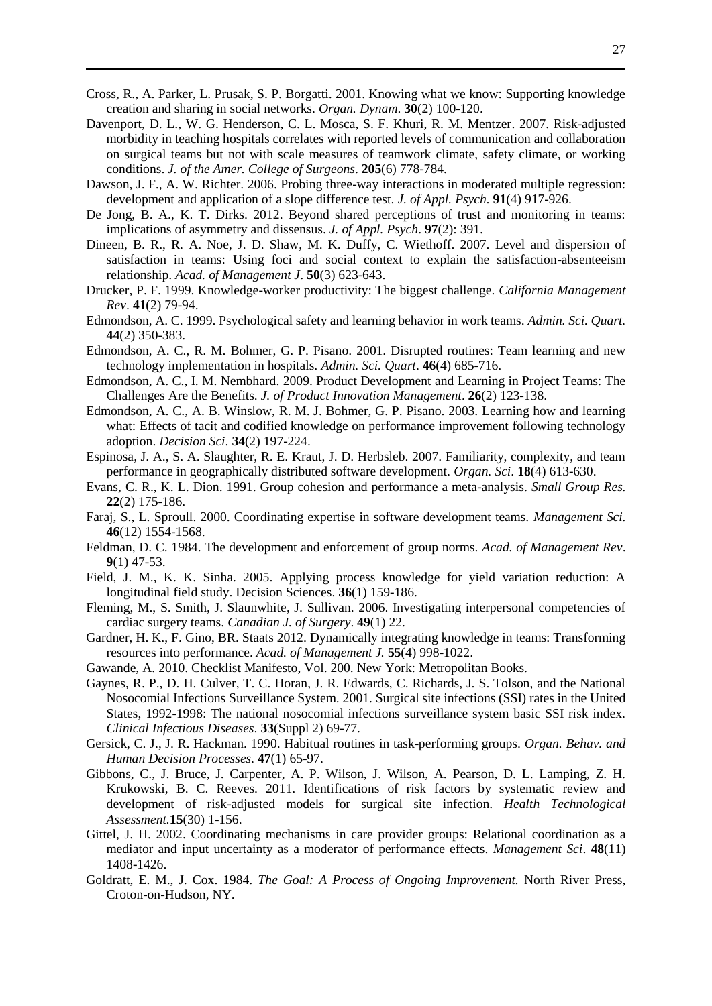- Cross, R., A. Parker, L. Prusak, S. P. Borgatti. 2001. Knowing what we know: Supporting knowledge creation and sharing in social networks. *Organ. Dynam*. **30**(2) 100-120.
- Davenport, D. L., W. G. Henderson, C. L. Mosca, S. F. Khuri, R. M. Mentzer. 2007. Risk-adjusted morbidity in teaching hospitals correlates with reported levels of communication and collaboration on surgical teams but not with scale measures of teamwork climate, safety climate, or working conditions. *J. of the Amer. College of Surgeons*. **205**(6) 778-784.
- Dawson, J. F., A. W. Richter. 2006. Probing three-way interactions in moderated multiple regression: development and application of a slope difference test. *J. of Appl. Psych.* **91**(4) 917-926.
- De Jong, B. A., K. T. Dirks. 2012. Beyond shared perceptions of trust and monitoring in teams: implications of asymmetry and dissensus. *J. of Appl. Psych*. **97**(2): 391.
- Dineen, B. R., R. A. Noe, J. D. Shaw, M. K. Duffy, C. Wiethoff. 2007. Level and dispersion of satisfaction in teams: Using foci and social context to explain the satisfaction-absenteeism relationship. *Acad. of Management J*. **50**(3) 623-643.
- Drucker, P. F. 1999. Knowledge-worker productivity: The biggest challenge. *California Management Rev*. **41**(2) 79-94.
- Edmondson, A. C. 1999. Psychological safety and learning behavior in work teams. *Admin. Sci. Quart.* **44**(2) 350-383.
- Edmondson, A. C., R. M. Bohmer, G. P. Pisano. 2001. Disrupted routines: Team learning and new technology implementation in hospitals. *Admin. Sci. Quart*. **46**(4) 685-716.
- Edmondson, A. C., I. M. Nembhard. 2009. Product Development and Learning in Project Teams: The Challenges Are the Benefits. *J. of Product Innovation Management*. **26**(2) 123-138.
- Edmondson, A. C., A. B. Winslow, R. M. J. Bohmer, G. P. Pisano. 2003. Learning how and learning what: Effects of tacit and codified knowledge on performance improvement following technology adoption. *Decision Sci*. **34**(2) 197-224.
- Espinosa, J. A., S. A. Slaughter, R. E. Kraut, J. D. Herbsleb. 2007. Familiarity, complexity, and team performance in geographically distributed software development. *Organ. Sci*. **18**(4) 613-630.
- Evans, C. R., K. L. Dion. 1991. Group cohesion and performance a meta-analysis. *Small Group Res.* **22**(2) 175-186.
- Faraj, S., L. Sproull. 2000. Coordinating expertise in software development teams. *Management Sci.* **46**(12) 1554-1568.
- Feldman, D. C. 1984. The development and enforcement of group norms. *Acad. of Management Rev*. **9**(1) 47-53.
- Field, J. M., K. K. Sinha. 2005. Applying process knowledge for yield variation reduction: A longitudinal field study. Decision Sciences. **36**(1) 159-186.
- Fleming, M., S. Smith, J. Slaunwhite, J. Sullivan. 2006. Investigating interpersonal competencies of cardiac surgery teams. *Canadian J. of Surgery*. **49**(1) 22.
- Gardner, H. K., F. Gino, BR. Staats 2012. Dynamically integrating knowledge in teams: Transforming resources into performance. *Acad. of Management J.* **55**(4) 998-1022.
- Gawande, A. 2010. Checklist Manifesto, Vol. 200. New York: Metropolitan Books.
- Gaynes, R. P., D. H. Culver, T. C. Horan, J. R. Edwards, C. Richards, J. S. Tolson, and the National Nosocomial Infections Surveillance System. 2001. Surgical site infections (SSI) rates in the United States, 1992-1998: The national nosocomial infections surveillance system basic SSI risk index. *Clinical Infectious Diseases*. **33**(Suppl 2) 69-77.
- Gersick, C. J., J. R. Hackman. 1990. Habitual routines in task-performing groups. *Organ. Behav. and Human Decision Processes*. **47**(1) 65-97.
- Gibbons, C., J. Bruce, J. Carpenter, A. P. Wilson, J. Wilson, A. Pearson, D. L. Lamping, Z. H. Krukowski, B. C. Reeves. 2011. Identifications of risk factors by systematic review and development of risk-adjusted models for surgical site infection. *Health Technological Assessment.***15**(30) 1-156.
- Gittel, J. H. 2002. Coordinating mechanisms in care provider groups: Relational coordination as a mediator and input uncertainty as a moderator of performance effects. *Management Sci*. **48**(11) 1408-1426.
- Goldratt, E. M., J. Cox. 1984. *The Goal: A Process of Ongoing Improvement.* North River Press, Croton-on-Hudson, NY.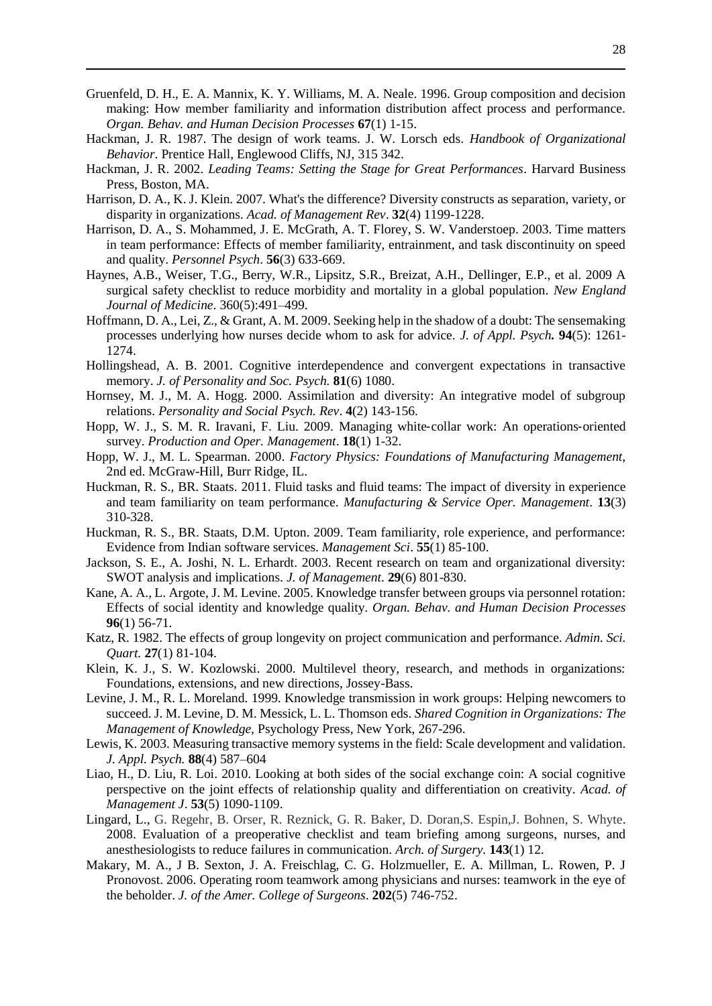- Gruenfeld, D. H., E. A. Mannix, K. Y. Williams, M. A. Neale. 1996. Group composition and decision making: How member familiarity and information distribution affect process and performance. *Organ. Behav. and Human Decision Processes* **67**(1) 1-15.
- Hackman, J. R. 1987. The design of work teams. J. W. Lorsch eds. *Handbook of Organizational Behavior*. Prentice Hall, Englewood Cliffs, NJ, 315 342.
- Hackman, J. R. 2002. *Leading Teams: Setting the Stage for Great Performances*. Harvard Business Press, Boston, MA.
- Harrison, D. A., K. J. Klein. 2007. What's the difference? Diversity constructs as separation, variety, or disparity in organizations. *Acad. of Management Rev*. **32**(4) 1199-1228.
- Harrison, D. A., S. Mohammed, J. E. McGrath, A. T. Florey, S. W. Vanderstoep. 2003. Time matters in team performance: Effects of member familiarity, entrainment, and task discontinuity on speed and quality. *Personnel Psych*. **56**(3) 633-669.
- Haynes, A.B., Weiser, T.G., Berry, W.R., Lipsitz, S.R., Breizat, A.H., Dellinger, E.P., et al. 2009 A surgical safety checklist to reduce morbidity and mortality in a global population. *New England Journal of Medicine*. 360(5):491–499.
- Hoffmann, D. A., Lei, Z., & Grant, A. M. 2009. Seeking help in the shadow of a doubt: The sensemaking processes underlying how nurses decide whom to ask for advice. *J. of Appl. Psych.* **94**(5): 1261- 1274.
- Hollingshead, A. B. 2001. Cognitive interdependence and convergent expectations in transactive memory. *J. of Personality and Soc. Psych.* **81**(6) 1080.
- Hornsey, M. J., M. A. Hogg. 2000. Assimilation and diversity: An integrative model of subgroup relations. *Personality and Social Psych. Rev*. **4**(2) 143-156.
- Hopp, W. J., S. M. R. Iravani, F. Liu. 2009. Managing white-collar work: An operations-oriented survey. *Production and Oper. Management*. **18**(1) 1-32.
- Hopp, W. J., M. L. Spearman. 2000. *Factory Physics: Foundations of Manufacturing Management,*  2nd ed. McGraw-Hill, Burr Ridge, IL.
- Huckman, R. S., BR. Staats. 2011. Fluid tasks and fluid teams: The impact of diversity in experience and team familiarity on team performance. *Manufacturing & Service Oper. Management*. **13**(3) 310-328.
- Huckman, R. S., BR. Staats, D.M. Upton. 2009. Team familiarity, role experience, and performance: Evidence from Indian software services. *Management Sci*. **55**(1) 85-100.
- Jackson, S. E., A. Joshi, N. L. Erhardt. 2003. Recent research on team and organizational diversity: SWOT analysis and implications. *J. of Management*. **29**(6) 801-830.
- Kane, A. A., L. Argote, J. M. Levine. 2005. Knowledge transfer between groups via personnel rotation: Effects of social identity and knowledge quality. *Organ. Behav. and Human Decision Processes* **96**(1) 56-71.
- Katz, R. 1982. The effects of group longevity on project communication and performance. *Admin. Sci. Quart.* **27**(1) 81-104.
- Klein, K. J., S. W. Kozlowski. 2000. Multilevel theory, research, and methods in organizations: Foundations, extensions, and new directions, Jossey-Bass.
- Levine, J. M., R. L. Moreland. 1999. Knowledge transmission in work groups: Helping newcomers to succeed. J. M. Levine, D. M. Messick, L. L. Thomson eds. *Shared Cognition in Organizations: The Management of Knowledge,* Psychology Press, New York, 267-296.
- Lewis, K. 2003. Measuring transactive memory systems in the field: Scale development and validation. *J. Appl. Psych.* **88**(4) 587–604
- Liao, H., D. Liu, R. Loi. 2010. Looking at both sides of the social exchange coin: A social cognitive perspective on the joint effects of relationship quality and differentiation on creativity. *Acad. of Management J*. **53**(5) 1090-1109.
- Lingard, L., G. Regehr, B. Orser, R. Reznick, G. R. Baker, D. Doran,S. Espin,J. Bohnen, S. Whyte. 2008. Evaluation of a preoperative checklist and team briefing among surgeons, nurses, and anesthesiologists to reduce failures in communication. *Arch. of Surgery.* **143**(1) 12.
- Makary, M. A., J B. Sexton, J. A. Freischlag, C. G. Holzmueller, E. A. Millman, L. Rowen, P. J Pronovost. 2006. Operating room teamwork among physicians and nurses: teamwork in the eye of the beholder. *J. of the Amer. College of Surgeons*. **202**(5) 746-752.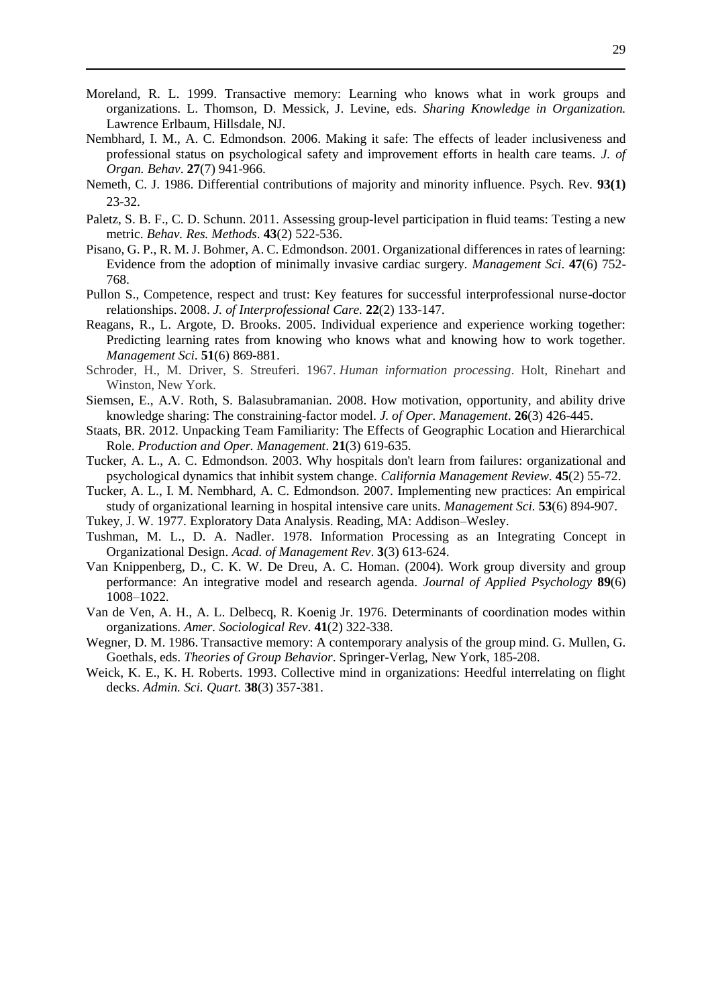- Moreland, R. L. 1999. Transactive memory: Learning who knows what in work groups and organizations. L. Thomson, D. Messick, J. Levine, eds. *Sharing Knowledge in Organization.*  Lawrence Erlbaum, Hillsdale, NJ.
- Nembhard, I. M., A. C. Edmondson. 2006. Making it safe: The effects of leader inclusiveness and professional status on psychological safety and improvement efforts in health care teams. *J. of Organ. Behav*. **27**(7) 941-966.
- Nemeth, C. J. 1986. Differential contributions of majority and minority influence. Psych. Rev. **93(1)** 23-32.
- Paletz, S. B. F., C. D. Schunn. 2011. Assessing group-level participation in fluid teams: Testing a new metric. *Behav. Res. Methods*. **43**(2) 522-536.
- Pisano, G. P., R. M. J. Bohmer, A. C. Edmondson. 2001. Organizational differences in rates of learning: Evidence from the adoption of minimally invasive cardiac surgery. *Management Sci*. **47**(6) 752- 768.
- Pullon S., Competence, respect and trust: Key features for successful interprofessional nurse-doctor relationships. 2008. *J. of Interprofessional Care.* **22**(2) 133-147.
- Reagans, R., L. Argote, D. Brooks. 2005. Individual experience and experience working together: Predicting learning rates from knowing who knows what and knowing how to work together. *Management Sci*. **51**(6) 869-881.
- Schroder, H., M. Driver, S. Streuferi. 1967. *Human information processing*. Holt, Rinehart and Winston, New York.
- Siemsen, E., A.V. Roth, S. Balasubramanian. 2008. How motivation, opportunity, and ability drive knowledge sharing: The constraining-factor model. *J. of Oper. Management*. **26**(3) 426-445.
- Staats, BR. 2012. Unpacking Team Familiarity: The Effects of Geographic Location and Hierarchical Role. *Production and Oper. Management*. **21**(3) 619-635.
- Tucker, A. L., A. C. Edmondson. 2003. Why hospitals don't learn from failures: organizational and psychological dynamics that inhibit system change. *California Management Review*. **45**(2) 55-72.
- Tucker, A. L., I. M. Nembhard, A. C. Edmondson. 2007. Implementing new practices: An empirical study of organizational learning in hospital intensive care units. *Management Sci.* **53**(6) 894-907.
- Tukey, J. W. 1977. Exploratory Data Analysis. Reading, MA: Addison–Wesley.
- Tushman, M. L., D. A. Nadler. 1978. Information Processing as an Integrating Concept in Organizational Design. *Acad. of Management Rev*. **3**(3) 613-624.
- Van Knippenberg, D., C. K. W. De Dreu, A. C. Homan. (2004). Work group diversity and group performance: An integrative model and research agenda. *Journal of Applied Psychology* **89**(6) 1008–1022.
- Van de Ven, A. H., A. L. Delbecq, R. Koenig Jr. 1976. Determinants of coordination modes within organizations. *Amer. Sociological Rev*. **41**(2) 322-338.
- Wegner, D. M. 1986. Transactive memory: A contemporary analysis of the group mind. G. Mullen, G. Goethals, eds. *Theories of Group Behavior*. Springer-Verlag, New York, 185-208.
- Weick, K. E., K. H. Roberts. 1993. Collective mind in organizations: Heedful interrelating on flight decks. *Admin. Sci. Quart.* **38**(3) 357-381.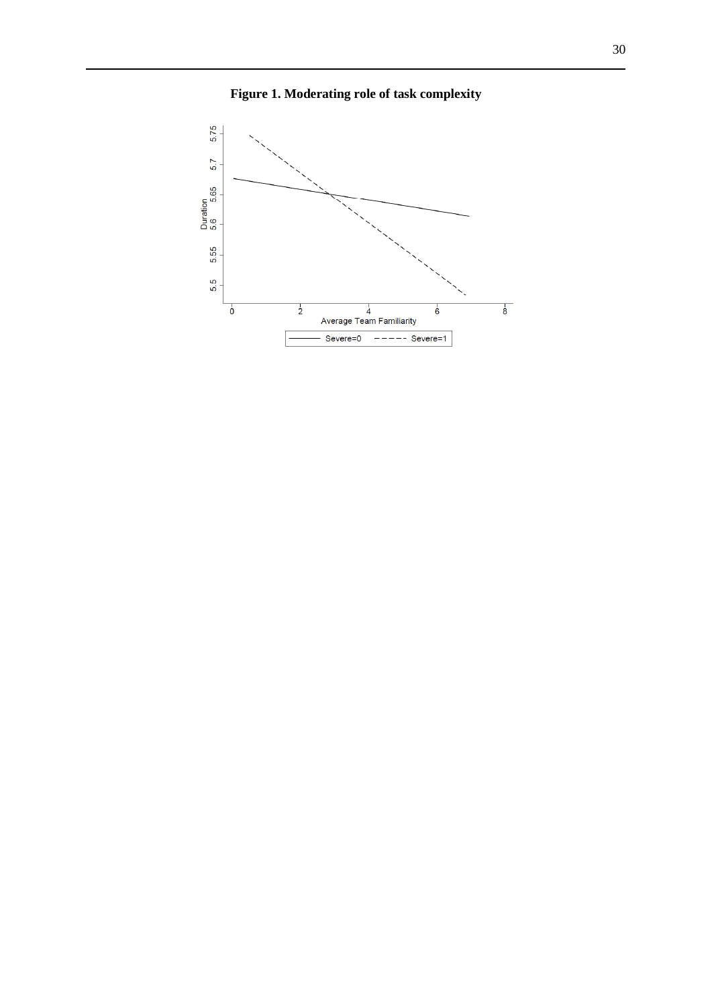

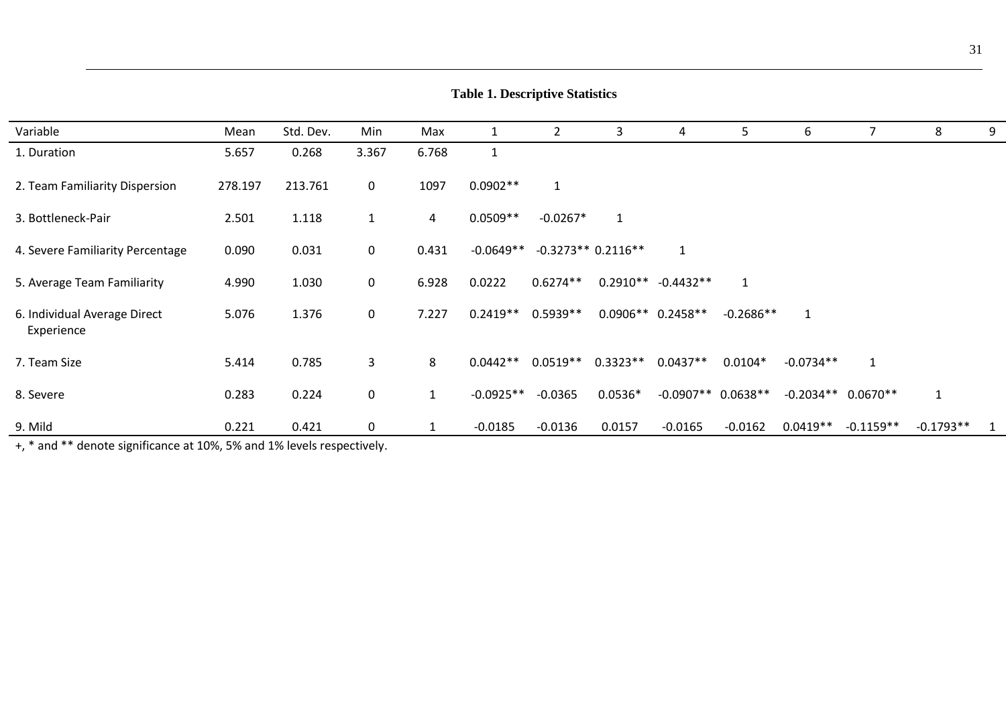| Variable                                                                                                                                                                                                                                  | Mean    | Std. Dev. | Min          | Max          | 1            | 2            | 3                   | 4                   | 5            | 6            |              | 8            | 9 |
|-------------------------------------------------------------------------------------------------------------------------------------------------------------------------------------------------------------------------------------------|---------|-----------|--------------|--------------|--------------|--------------|---------------------|---------------------|--------------|--------------|--------------|--------------|---|
| 1. Duration                                                                                                                                                                                                                               | 5.657   | 0.268     | 3.367        | 6.768        | $\mathbf{1}$ |              |                     |                     |              |              |              |              |   |
| 2. Team Familiarity Dispersion                                                                                                                                                                                                            | 278.197 | 213.761   | $\mathbf 0$  | 1097         | $0.0902**$   | $\mathbf{1}$ |                     |                     |              |              |              |              |   |
| 3. Bottleneck-Pair                                                                                                                                                                                                                        | 2.501   | 1.118     | $\mathbf{1}$ | 4            | $0.0509**$   | $-0.0267*$   | $\mathbf{1}$        |                     |              |              |              |              |   |
| 4. Severe Familiarity Percentage                                                                                                                                                                                                          | 0.090   | 0.031     | 0            | 0.431        | $-0.0649**$  |              | $-0.3273**0.2116**$ | $\mathbf{1}$        |              |              |              |              |   |
| 5. Average Team Familiarity                                                                                                                                                                                                               | 4.990   | 1.030     | $\mathbf 0$  | 6.928        | 0.0222       | $0.6274**$   | $0.2910**$          | $-0.4432**$         | $\mathbf{1}$ |              |              |              |   |
| 6. Individual Average Direct<br>Experience                                                                                                                                                                                                | 5.076   | 1.376     | $\mathbf 0$  | 7.227        | $0.2419**$   | $0.5939**$   |                     | $0.0906**$ 0.2458** | $-0.2686**$  | $\mathbf{1}$ |              |              |   |
| 7. Team Size                                                                                                                                                                                                                              | 5.414   | 0.785     | 3            | 8            | $0.0442**$   | $0.0519**$   | $0.3323**$          | $0.0437**$          | $0.0104*$    | $-0.0734**$  | $\mathbf{1}$ |              |   |
| 8. Severe                                                                                                                                                                                                                                 | 0.283   | 0.224     | $\pmb{0}$    | $\mathbf{1}$ | $-0.0925**$  | $-0.0365$    | $0.0536*$           | $-0.0907**$         | $0.0638**$   | $-0.2034**$  | $0.0670**$   | $\mathbf{1}$ |   |
| 9. Mild<br>the contract of the contract of the contract of the contract of the contract of the contract of the contract of the contract of the contract of the contract of the contract of the contract of the contract of the contract o | 0.221   | 0.421     | 0            | $\mathbf{1}$ | $-0.0185$    | $-0.0136$    | 0.0157              | $-0.0165$           | $-0.0162$    | $0.0419**$   | $-0.1159**$  | $-0.1793**$  |   |

**Table 1. Descriptive Statistics**

+, \* and \*\* denote significance at 10%, 5% and 1% levels respectively.